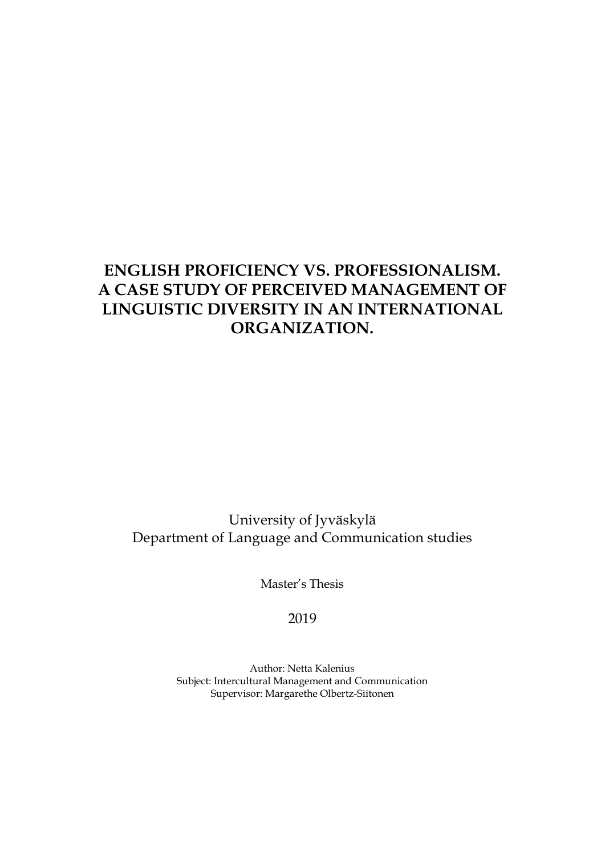# **ENGLISH PROFICIENCY VS. PROFESSIONALISM. A CASE STUDY OF PERCEIVED MANAGEMENT OF LINGUISTIC DIVERSITY IN AN INTERNATIONAL ORGANIZATION.**

University of Jyväskylä Department of Language and Communication studies

Master's Thesis

2019

Author: Netta Kalenius Subject: Intercultural Management and Communication Supervisor: Margarethe Olbertz-Siitonen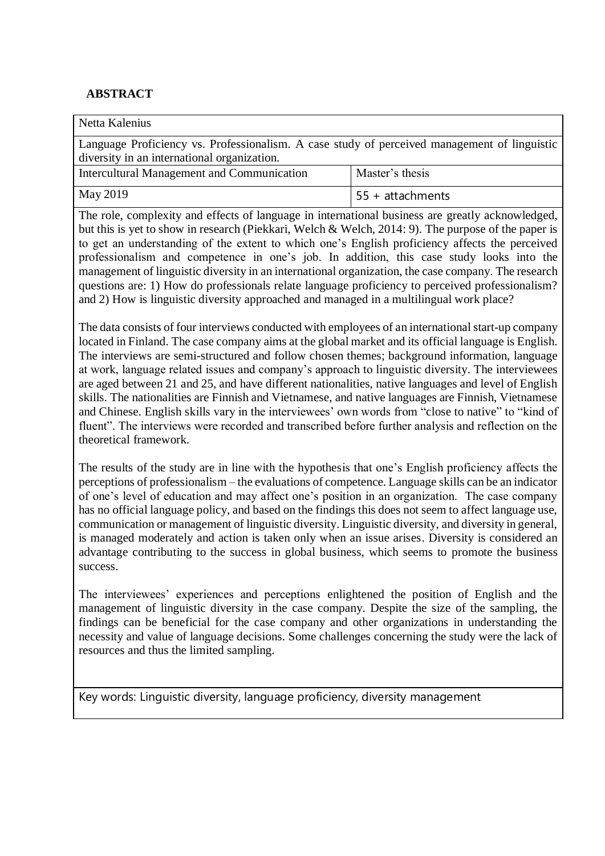### **ABSTRACT**

Netta Kalenius

Language Proficiency vs. Professionalism. A case study of perceived management of linguistic diversity in an international organization.

| Intercultural Management and Communication | Master's thesis  |
|--------------------------------------------|------------------|
| May 2019                                   | 55 + attachments |

The role, complexity and effects of language in international business are greatly acknowledged, but this is yet to show in research (Piekkari, Welch & Welch, 2014: 9). The purpose of the paper is to get an understanding of the extent to which one's English proficiency affects the perceived professionalism and competence in one's job. In addition, this case study looks into the management of linguistic diversity in an international organization, the case company. The research questions are: 1) How do professionals relate language proficiency to perceived professionalism? and 2) How is linguistic diversity approached and managed in a multilingual work place?

The data consists of four interviews conducted with employees of an international start-up company located in Finland. The case company aims at the global market and its official language is English. The interviews are semi-structured and follow chosen themes; background information, language at work, language related issues and company's approach to linguistic diversity. The interviewees are aged between 21 and 25, and have different nationalities, native languages and level of English skills. The nationalities are Finnish and Vietnamese, and native languages are Finnish, Vietnamese and Chinese. English skills vary in the interviewees' own words from "close to native" to "kind of fluent". The interviews were recorded and transcribed before further analysis and reflection on the theoretical framework.

The results of the study are in line with the hypothesis that one's English proficiency affects the perceptions of professionalism – the evaluations of competence. Language skills can be an indicator of one's level of education and may affect one's position in an organization. The case company has no official language policy, and based on the findings this does not seem to affect language use, communication or management of linguistic diversity. Linguistic diversity, and diversity in general, is managed moderately and action is taken only when an issue arises. Diversity is considered an advantage contributing to the success in global business, which seems to promote the business success.

The interviewees' experiences and perceptions enlightened the position of English and the management of linguistic diversity in the case company. Despite the size of the sampling, the findings can be beneficial for the case company and other organizations in understanding the necessity and value of language decisions. Some challenges concerning the study were the lack of resources and thus the limited sampling.

Key words: Linguistic diversity, language proficiency, diversity management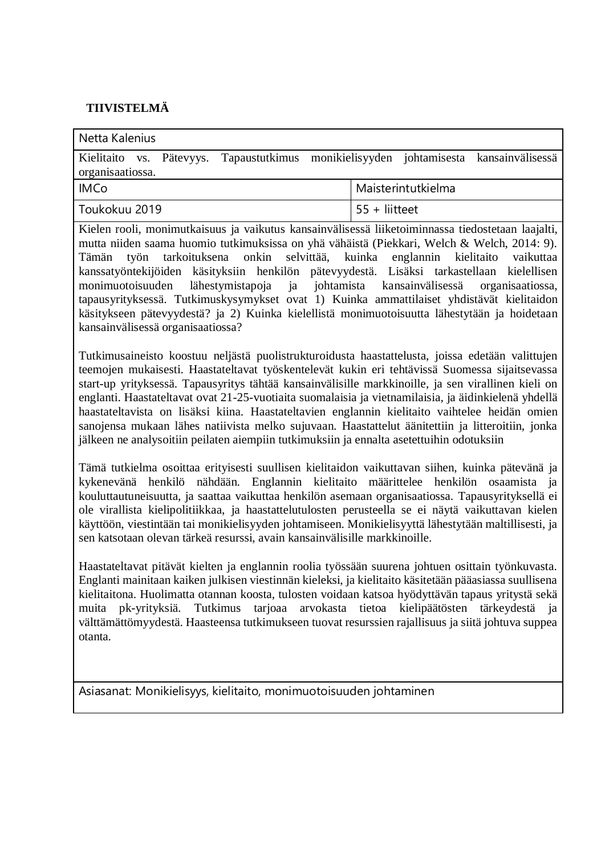# **TIIVISTELMÄ**

| Netta Kalenius                                                                                                                                                                                                                                                                                                                                                                                                                                                                                                                                                                                                                                                                                                        |                                                                                             |
|-----------------------------------------------------------------------------------------------------------------------------------------------------------------------------------------------------------------------------------------------------------------------------------------------------------------------------------------------------------------------------------------------------------------------------------------------------------------------------------------------------------------------------------------------------------------------------------------------------------------------------------------------------------------------------------------------------------------------|---------------------------------------------------------------------------------------------|
| Tapaustutkimus<br>Kielitaito<br>Pätevyys.<br>VS.<br>organisaatiossa.                                                                                                                                                                                                                                                                                                                                                                                                                                                                                                                                                                                                                                                  | monikielisyyden johtamisesta<br>kansainvälisessä                                            |
| <b>IMCo</b>                                                                                                                                                                                                                                                                                                                                                                                                                                                                                                                                                                                                                                                                                                           | Maisterintutkielma                                                                          |
| Toukokuu 2019                                                                                                                                                                                                                                                                                                                                                                                                                                                                                                                                                                                                                                                                                                         | $55 +$ liitteet                                                                             |
| Kielen rooli, monimutkaisuus ja vaikutus kansainvälisessä liiketoiminnassa tiedostetaan laajalti,<br>mutta niiden saama huomio tutkimuksissa on yhä vähäistä (Piekkari, Welch & Welch, 2014: 9).<br>tarkoituksena onkin selvittää,<br>työn<br>Tämän<br>kanssatyöntekijöiden käsityksiin henkilön pätevyydestä. Lisäksi tarkastellaan kielellisen<br>lähestymistapoja<br>monimuotoisuuden<br>ja<br>tapausyrityksessä. Tutkimuskysymykset ovat 1) Kuinka ammattilaiset yhdistävät kielitaidon<br>käsitykseen pätevyydestä? ja 2) Kuinka kielellistä monimuotoisuutta lähestytään ja hoidetaan<br>kansainvälisessä organisaatiossa?                                                                                      | kuinka englannin kielitaito<br>vaikuttaa<br>johtamista kansainvälisessä<br>organisaatiossa, |
| Tutkimusaineisto koostuu neljästä puolistrukturoidusta haastattelusta, joissa edetään valittujen<br>teemojen mukaisesti. Haastateltavat työskentelevät kukin eri tehtävissä Suomessa sijaitsevassa<br>start-up yrityksessä. Tapausyritys tähtää kansainvälisille markkinoille, ja sen virallinen kieli on<br>englanti. Haastateltavat ovat 21-25-vuotiaita suomalaisia ja vietnamilaisia, ja äidinkielenä yhdellä<br>haastateltavista on lisäksi kiina. Haastateltavien englannin kielitaito vaihtelee heidän omien<br>sanojensa mukaan lähes natiivista melko sujuvaan. Haastattelut äänitettiin ja litteroitiin, jonka<br>jälkeen ne analysoitiin peilaten aiempiin tutkimuksiin ja ennalta asetettuihin odotuksiin |                                                                                             |
| Tämä tutkielma osoittaa erityisesti suullisen kielitaidon vaikuttavan siihen, kuinka pätevänä ja<br>kykenevänä henkilö nähdään. Englannin kielitaito määrittelee henkilön osaamista ja<br>kouluttautuneisuutta, ja saattaa vaikuttaa henkilön asemaan organisaatiossa. Tapausyrityksellä ei<br>ole virallista kielipolitiikkaa, ja haastattelutulosten perusteella se ei näytä vaikuttavan kielen<br>käyttöön, viestintään tai monikielisyyden johtamiseen. Monikielisyyttä lähestytään maltillisesti, ja<br>sen katsotaan olevan tärkeä resurssi, avain kansainvälisille markkinoille.                                                                                                                               |                                                                                             |

Haastateltavat pitävät kielten ja englannin roolia työssään suurena johtuen osittain työnkuvasta. Englanti mainitaan kaiken julkisen viestinnän kieleksi, ja kielitaito käsitetään pääasiassa suullisena kielitaitona. Huolimatta otannan koosta, tulosten voidaan katsoa hyödyttävän tapaus yritystä sekä muita pk-yrityksiä. Tutkimus tarjoaa arvokasta tietoa kielipäätösten tärkeydestä ja välttämättömyydestä. Haasteensa tutkimukseen tuovat resurssien rajallisuus ja siitä johtuva suppea otanta.

Asiasanat: Monikielisyys, kielitaito, monimuotoisuuden johtaminen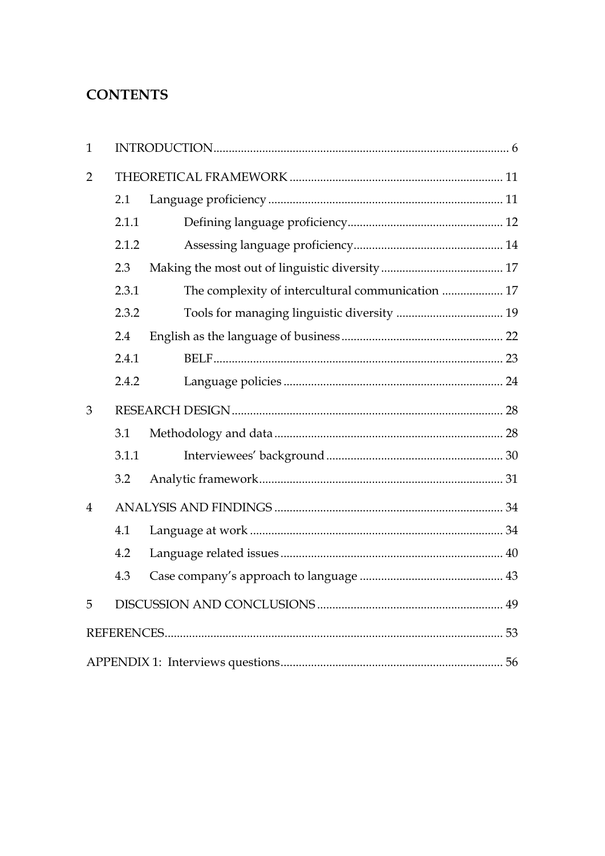# **CONTENTS**

| $\mathbf{1}$   |       |                                                   |  |
|----------------|-------|---------------------------------------------------|--|
| $\overline{2}$ |       |                                                   |  |
|                | 2.1   |                                                   |  |
|                | 2.1.1 |                                                   |  |
|                | 2.1.2 |                                                   |  |
|                | 2.3   |                                                   |  |
|                | 2.3.1 | The complexity of intercultural communication  17 |  |
|                | 2.3.2 |                                                   |  |
|                | 2.4   |                                                   |  |
|                | 2.4.1 |                                                   |  |
|                | 2.4.2 |                                                   |  |
| 3              |       |                                                   |  |
|                | 3.1   |                                                   |  |
|                | 3.1.1 |                                                   |  |
|                | 3.2   |                                                   |  |
| $\overline{4}$ |       |                                                   |  |
|                | 4.1   |                                                   |  |
|                | 4.2   |                                                   |  |
|                | 4.3   |                                                   |  |
| 5              |       |                                                   |  |
|                |       |                                                   |  |
|                |       |                                                   |  |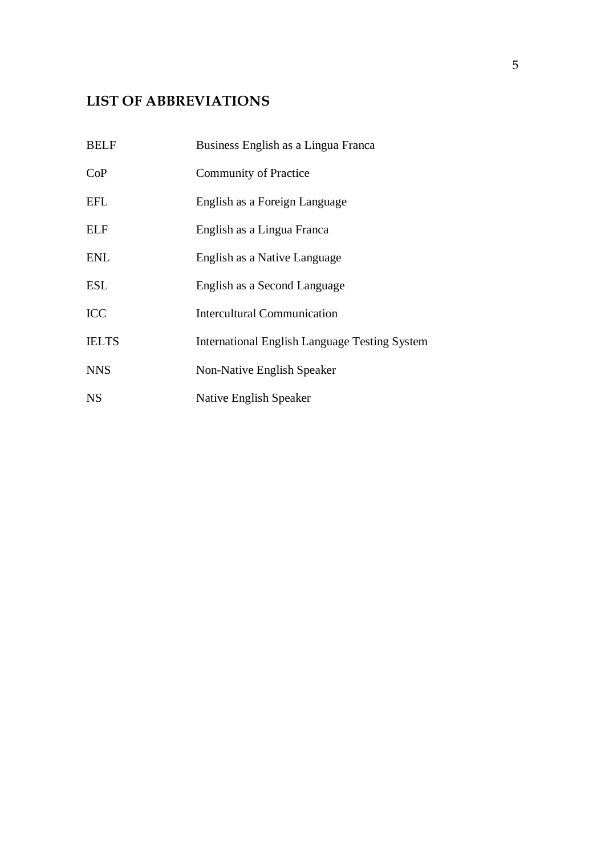# **LIST OF ABBREVIATIONS**

| <b>BELF</b>  | Business English as a Lingua Franca                  |
|--------------|------------------------------------------------------|
| CoP          | <b>Community of Practice</b>                         |
| EFL          | English as a Foreign Language                        |
| <b>ELF</b>   | English as a Lingua Franca                           |
| <b>ENL</b>   | English as a Native Language                         |
| <b>ESL</b>   | English as a Second Language                         |
| <b>ICC</b>   | <b>Intercultural Communication</b>                   |
| <b>IELTS</b> | <b>International English Language Testing System</b> |
| <b>NNS</b>   | Non-Native English Speaker                           |
| <b>NS</b>    | Native English Speaker                               |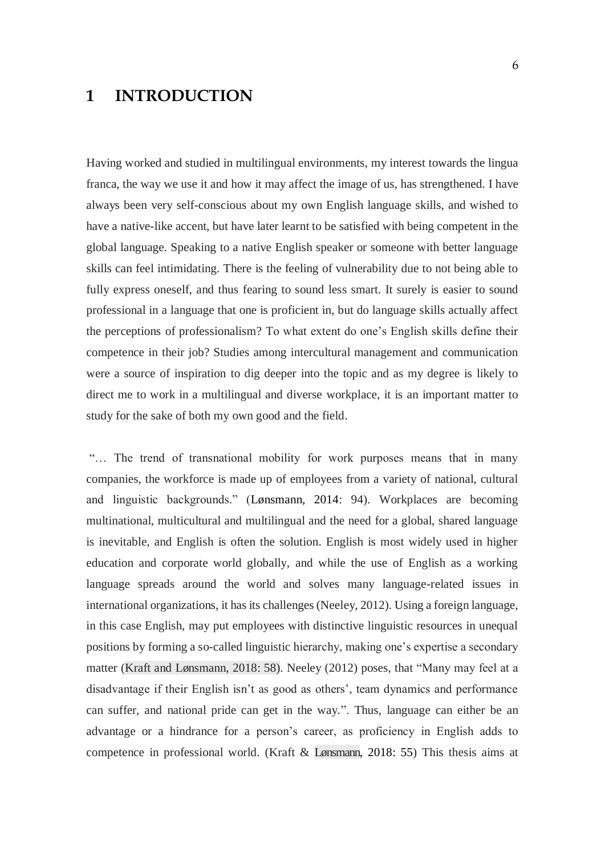# <span id="page-5-0"></span>**1 INTRODUCTION**

Having worked and studied in multilingual environments, my interest towards the lingua franca, the way we use it and how it may affect the image of us, has strengthened. I have always been very self-conscious about my own English language skills, and wished to have a native-like accent, but have later learnt to be satisfied with being competent in the global language. Speaking to a native English speaker or someone with better language skills can feel intimidating. There is the feeling of vulnerability due to not being able to fully express oneself, and thus fearing to sound less smart. It surely is easier to sound professional in a language that one is proficient in, but do language skills actually affect the perceptions of professionalism? To what extent do one's English skills define their competence in their job? Studies among intercultural management and communication were a source of inspiration to dig deeper into the topic and as my degree is likely to direct me to work in a multilingual and diverse workplace, it is an important matter to study for the sake of both my own good and the field.

"… The trend of transnational mobility for work purposes means that in many companies, the workforce is made up of employees from a variety of national, cultural and linguistic backgrounds." (Lønsmann, 2014: 94). Workplaces are becoming multinational, multicultural and multilingual and the need for a global, shared language is inevitable, and English is often the solution. English is most widely used in higher education and corporate world globally, and while the use of English as a working language spreads around the world and solves many language-related issues in international organizations, it has its challenges (Neeley, 2012). Using a foreign language, in this case English, may put employees with distinctive linguistic resources in unequal positions by forming a so-called linguistic hierarchy, making one's expertise a secondary matter (Kraft and Lønsmann, 2018: 58). Neeley (2012) poses, that "Many may feel at a disadvantage if their English isn't as good as others', team dynamics and performance can suffer, and national pride can get in the way.". Thus, language can either be an advantage or a hindrance for a person's career, as proficiency in English adds to competence in professional world. (Kraft & Lønsmann, 2018: 55) This thesis aims at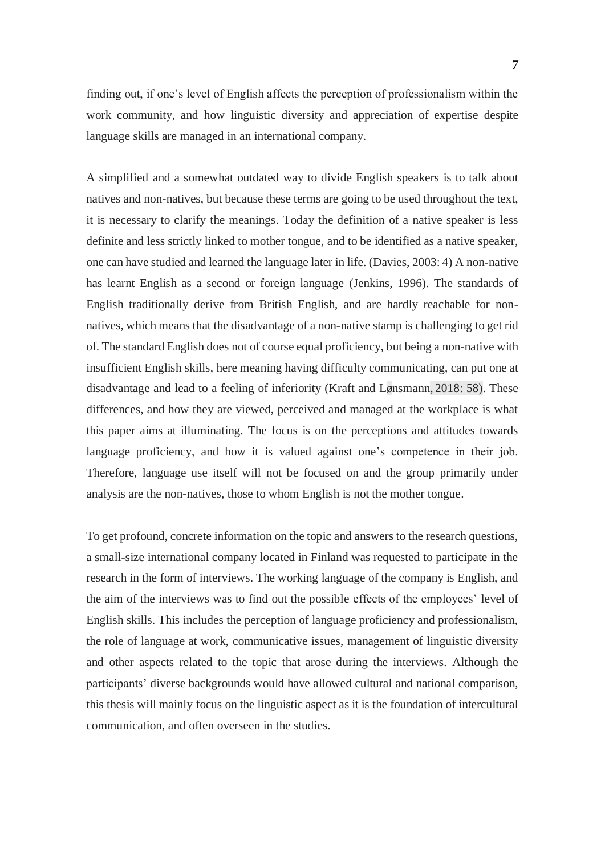finding out, if one's level of English affects the perception of professionalism within the work community, and how linguistic diversity and appreciation of expertise despite language skills are managed in an international company.

A simplified and a somewhat outdated way to divide English speakers is to talk about natives and non-natives, but because these terms are going to be used throughout the text, it is necessary to clarify the meanings. Today the definition of a native speaker is less definite and less strictly linked to mother tongue, and to be identified as a native speaker, one can have studied and learned the language later in life. (Davies, 2003: 4) A non-native has learnt English as a second or foreign language (Jenkins, 1996). The standards of English traditionally derive from British English, and are hardly reachable for nonnatives, which means that the disadvantage of a non-native stamp is challenging to get rid of. The standard English does not of course equal proficiency, but being a non-native with insufficient English skills, here meaning having difficulty communicating, can put one at disadvantage and lead to a feeling of inferiority (Kraft and Lønsmann, 2018: 58). These differences, and how they are viewed, perceived and managed at the workplace is what this paper aims at illuminating. The focus is on the perceptions and attitudes towards language proficiency, and how it is valued against one's competence in their job. Therefore, language use itself will not be focused on and the group primarily under analysis are the non-natives, those to whom English is not the mother tongue.

To get profound, concrete information on the topic and answers to the research questions, a small-size international company located in Finland was requested to participate in the research in the form of interviews. The working language of the company is English, and the aim of the interviews was to find out the possible effects of the employees' level of English skills. This includes the perception of language proficiency and professionalism, the role of language at work, communicative issues, management of linguistic diversity and other aspects related to the topic that arose during the interviews. Although the participants' diverse backgrounds would have allowed cultural and national comparison, this thesis will mainly focus on the linguistic aspect as it is the foundation of intercultural communication, and often overseen in the studies.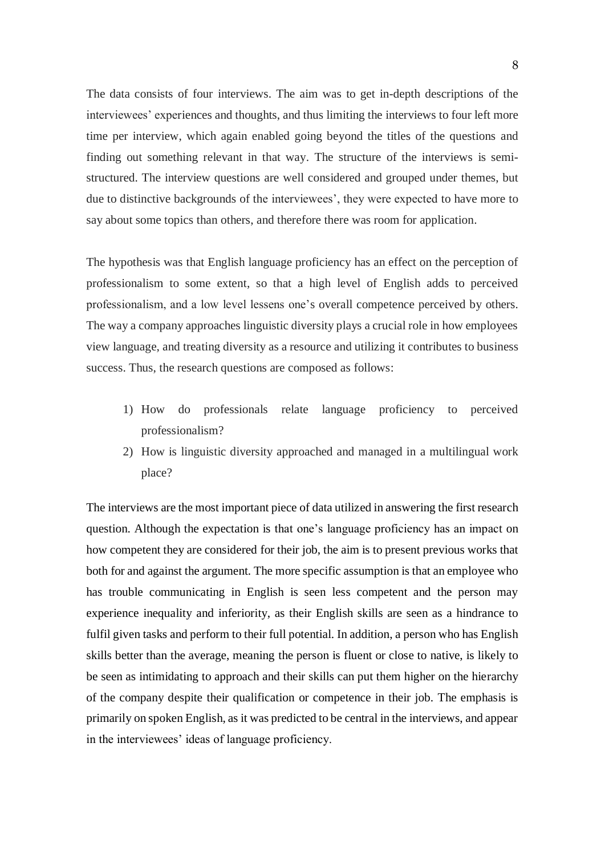The data consists of four interviews. The aim was to get in-depth descriptions of the interviewees' experiences and thoughts, and thus limiting the interviews to four left more time per interview, which again enabled going beyond the titles of the questions and finding out something relevant in that way. The structure of the interviews is semistructured. The interview questions are well considered and grouped under themes, but due to distinctive backgrounds of the interviewees', they were expected to have more to say about some topics than others, and therefore there was room for application.

The hypothesis was that English language proficiency has an effect on the perception of professionalism to some extent, so that a high level of English adds to perceived professionalism, and a low level lessens one's overall competence perceived by others. The way a company approaches linguistic diversity plays a crucial role in how employees view language, and treating diversity as a resource and utilizing it contributes to business success. Thus, the research questions are composed as follows:

- 1) How do professionals relate language proficiency to perceived professionalism?
- 2) How is linguistic diversity approached and managed in a multilingual work place?

The interviews are the most important piece of data utilized in answering the first research question. Although the expectation is that one's language proficiency has an impact on how competent they are considered for their job, the aim is to present previous works that both for and against the argument. The more specific assumption is that an employee who has trouble communicating in English is seen less competent and the person may experience inequality and inferiority, as their English skills are seen as a hindrance to fulfil given tasks and perform to their full potential. In addition, a person who has English skills better than the average, meaning the person is fluent or close to native, is likely to be seen as intimidating to approach and their skills can put them higher on the hierarchy of the company despite their qualification or competence in their job. The emphasis is primarily on spoken English, as it was predicted to be central in the interviews, and appear in the interviewees' ideas of language proficiency.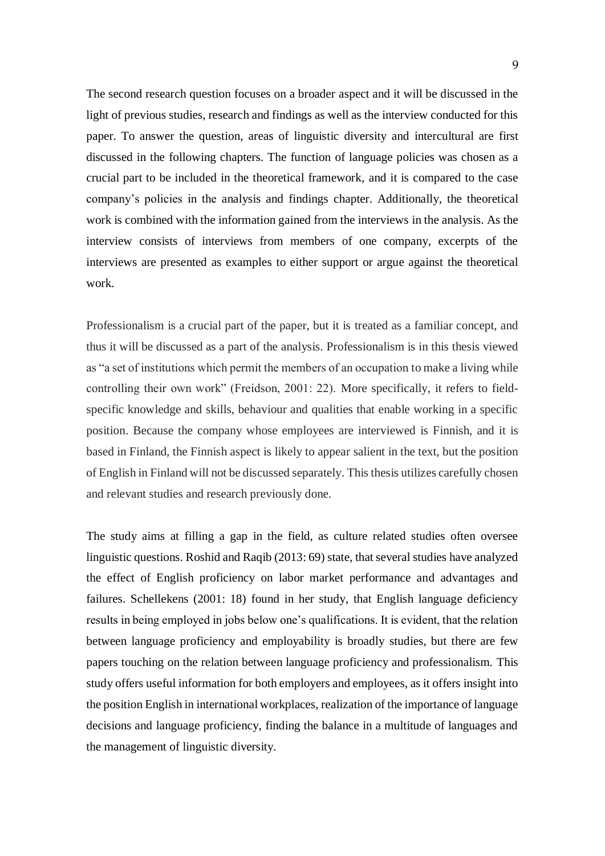The second research question focuses on a broader aspect and it will be discussed in the light of previous studies, research and findings as well as the interview conducted for this paper. To answer the question, areas of linguistic diversity and intercultural are first discussed in the following chapters. The function of language policies was chosen as a crucial part to be included in the theoretical framework, and it is compared to the case company's policies in the analysis and findings chapter. Additionally, the theoretical work is combined with the information gained from the interviews in the analysis. As the interview consists of interviews from members of one company, excerpts of the interviews are presented as examples to either support or argue against the theoretical work.

Professionalism is a crucial part of the paper, but it is treated as a familiar concept, and thus it will be discussed as a part of the analysis. Professionalism is in this thesis viewed as "a set of institutions which permit the members of an occupation to make a living while controlling their own work" (Freidson, 2001: 22). More specifically, it refers to fieldspecific knowledge and skills, behaviour and qualities that enable working in a specific position. Because the company whose employees are interviewed is Finnish, and it is based in Finland, the Finnish aspect is likely to appear salient in the text, but the position of English in Finland will not be discussed separately. This thesis utilizes carefully chosen and relevant studies and research previously done.

The study aims at filling a gap in the field, as culture related studies often oversee linguistic questions. Roshid and Raqib (2013: 69) state, that several studies have analyzed the effect of English proficiency on labor market performance and advantages and failures. Schellekens (2001: 18) found in her study, that English language deficiency results in being employed in jobs below one's qualifications. It is evident, that the relation between language proficiency and employability is broadly studies, but there are few papers touching on the relation between language proficiency and professionalism. This study offers useful information for both employers and employees, as it offers insight into the position English in international workplaces, realization of the importance of language decisions and language proficiency, finding the balance in a multitude of languages and the management of linguistic diversity.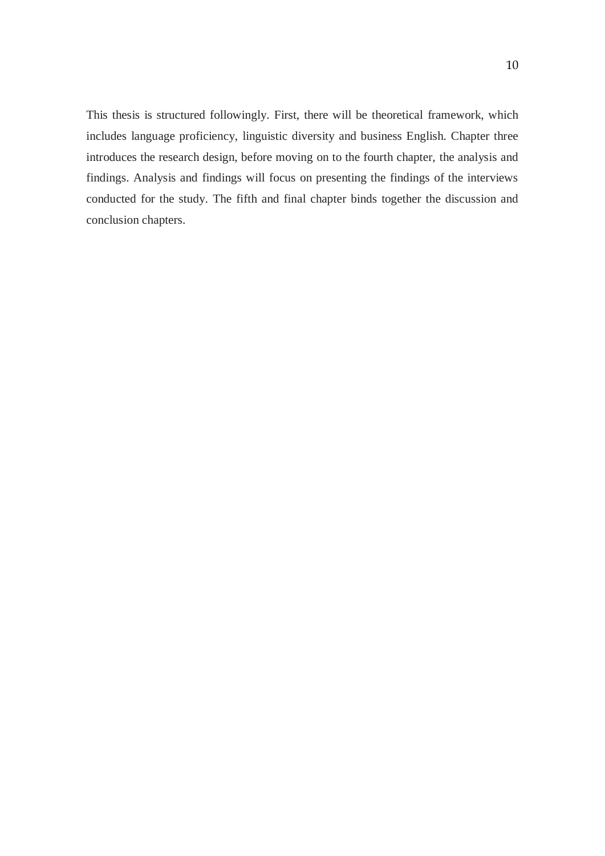This thesis is structured followingly. First, there will be theoretical framework, which includes language proficiency, linguistic diversity and business English. Chapter three introduces the research design, before moving on to the fourth chapter, the analysis and findings. Analysis and findings will focus on presenting the findings of the interviews conducted for the study. The fifth and final chapter binds together the discussion and conclusion chapters.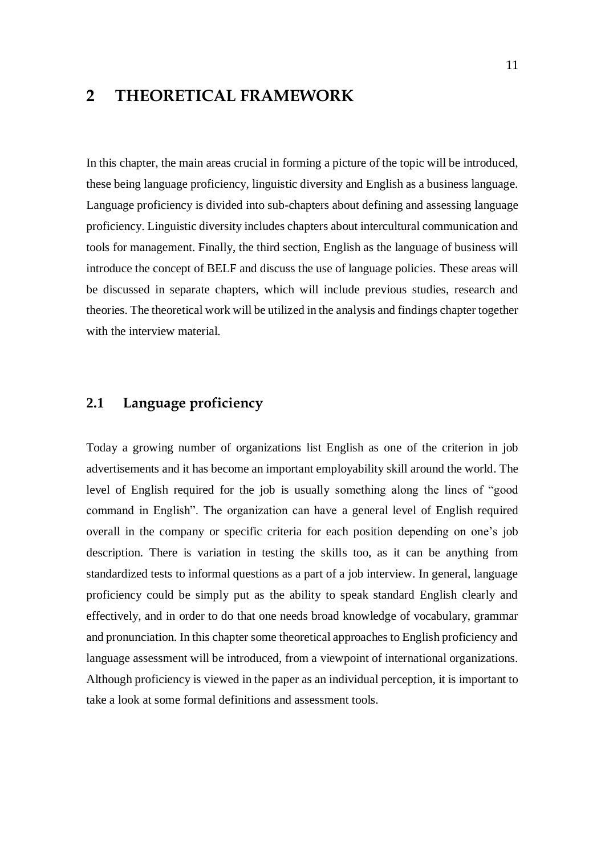# <span id="page-10-0"></span>**2 THEORETICAL FRAMEWORK**

In this chapter, the main areas crucial in forming a picture of the topic will be introduced, these being language proficiency, linguistic diversity and English as a business language. Language proficiency is divided into sub-chapters about defining and assessing language proficiency. Linguistic diversity includes chapters about intercultural communication and tools for management. Finally, the third section, English as the language of business will introduce the concept of BELF and discuss the use of language policies. These areas will be discussed in separate chapters, which will include previous studies, research and theories. The theoretical work will be utilized in the analysis and findings chapter together with the interview material.

# <span id="page-10-1"></span>**2.1 Language proficiency**

Today a growing number of organizations list English as one of the criterion in job advertisements and it has become an important employability skill around the world. The level of English required for the job is usually something along the lines of "good command in English". The organization can have a general level of English required overall in the company or specific criteria for each position depending on one's job description. There is variation in testing the skills too, as it can be anything from standardized tests to informal questions as a part of a job interview. In general, language proficiency could be simply put as the ability to speak standard English clearly and effectively, and in order to do that one needs broad knowledge of vocabulary, grammar and pronunciation. In this chapter some theoretical approaches to English proficiency and language assessment will be introduced, from a viewpoint of international organizations. Although proficiency is viewed in the paper as an individual perception, it is important to take a look at some formal definitions and assessment tools.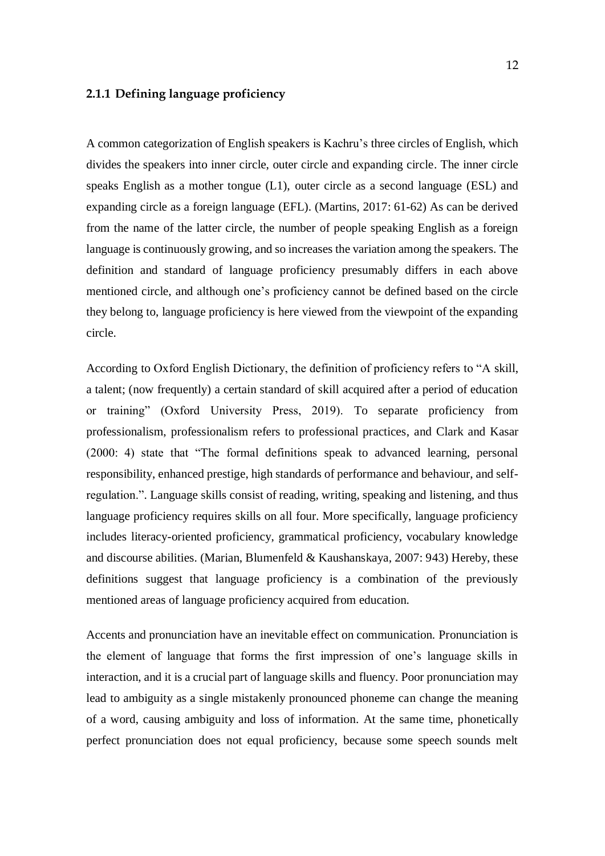### <span id="page-11-0"></span>**2.1.1 Defining language proficiency**

A common categorization of English speakers is Kachru's three circles of English, which divides the speakers into inner circle, outer circle and expanding circle. The inner circle speaks English as a mother tongue (L1), outer circle as a second language (ESL) and expanding circle as a foreign language (EFL). (Martins, 2017: 61-62) As can be derived from the name of the latter circle, the number of people speaking English as a foreign language is continuously growing, and so increases the variation among the speakers. The definition and standard of language proficiency presumably differs in each above mentioned circle, and although one's proficiency cannot be defined based on the circle they belong to, language proficiency is here viewed from the viewpoint of the expanding circle.

According to Oxford English Dictionary, the definition of proficiency refers to "A skill, a talent; (now frequently) a certain standard of skill acquired after a period of education or training" (Oxford University Press, 2019). To separate proficiency from professionalism, professionalism refers to professional practices, and Clark and Kasar (2000: 4) state that "The formal definitions speak to advanced learning, personal responsibility, enhanced prestige, high standards of performance and behaviour, and selfregulation.". Language skills consist of reading, writing, speaking and listening, and thus language proficiency requires skills on all four. More specifically, language proficiency includes literacy-oriented proficiency, grammatical proficiency, vocabulary knowledge and discourse abilities. (Marian, Blumenfeld & Kaushanskaya, 2007: 943) Hereby, these definitions suggest that language proficiency is a combination of the previously mentioned areas of language proficiency acquired from education.

Accents and pronunciation have an inevitable effect on communication. Pronunciation is the element of language that forms the first impression of one's language skills in interaction, and it is a crucial part of language skills and fluency. Poor pronunciation may lead to ambiguity as a single mistakenly pronounced phoneme can change the meaning of a word, causing ambiguity and loss of information. At the same time, phonetically perfect pronunciation does not equal proficiency, because some speech sounds melt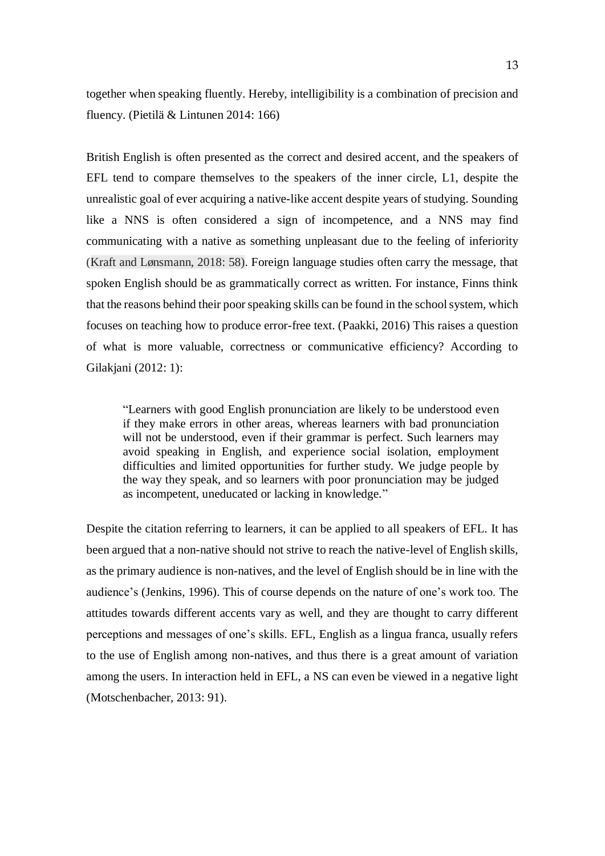together when speaking fluently. Hereby, intelligibility is a combination of precision and fluency. (Pietilä & Lintunen 2014: 166)

British English is often presented as the correct and desired accent, and the speakers of EFL tend to compare themselves to the speakers of the inner circle, L1, despite the unrealistic goal of ever acquiring a native-like accent despite years of studying. Sounding like a NNS is often considered a sign of incompetence, and a NNS may find communicating with a native as something unpleasant due to the feeling of inferiority (Kraft and Lønsmann, 2018: 58). Foreign language studies often carry the message, that spoken English should be as grammatically correct as written. For instance, Finns think that the reasons behind their poor speaking skills can be found in the school system, which focuses on teaching how to produce error-free text. (Paakki, 2016) This raises a question of what is more valuable, correctness or communicative efficiency? According to Gilakjani (2012: 1):

"Learners with good English pronunciation are likely to be understood even if they make errors in other areas, whereas learners with bad pronunciation will not be understood, even if their grammar is perfect. Such learners may avoid speaking in English, and experience social isolation, employment difficulties and limited opportunities for further study. We judge people by the way they speak, and so learners with poor pronunciation may be judged as incompetent, uneducated or lacking in knowledge."

Despite the citation referring to learners, it can be applied to all speakers of EFL. It has been argued that a non-native should not strive to reach the native-level of English skills, as the primary audience is non-natives, and the level of English should be in line with the audience's (Jenkins, 1996). This of course depends on the nature of one's work too. The attitudes towards different accents vary as well, and they are thought to carry different perceptions and messages of one's skills. EFL, English as a lingua franca, usually refers to the use of English among non-natives, and thus there is a great amount of variation among the users. In interaction held in EFL, a NS can even be viewed in a negative light (Motschenbacher, 2013: 91).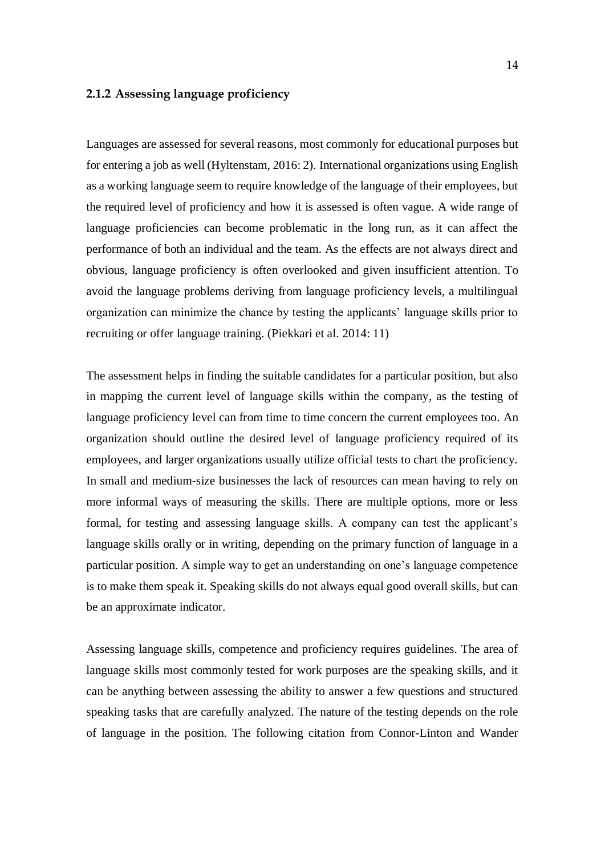#### <span id="page-13-0"></span>**2.1.2 Assessing language proficiency**

Languages are assessed for several reasons, most commonly for educational purposes but for entering a job as well (Hyltenstam, 2016: 2). International organizations using English as a working language seem to require knowledge of the language of their employees, but the required level of proficiency and how it is assessed is often vague. A wide range of language proficiencies can become problematic in the long run, as it can affect the performance of both an individual and the team. As the effects are not always direct and obvious, language proficiency is often overlooked and given insufficient attention. To avoid the language problems deriving from language proficiency levels, a multilingual organization can minimize the chance by testing the applicants' language skills prior to recruiting or offer language training. (Piekkari et al. 2014: 11)

The assessment helps in finding the suitable candidates for a particular position, but also in mapping the current level of language skills within the company, as the testing of language proficiency level can from time to time concern the current employees too. An organization should outline the desired level of language proficiency required of its employees, and larger organizations usually utilize official tests to chart the proficiency. In small and medium-size businesses the lack of resources can mean having to rely on more informal ways of measuring the skills. There are multiple options, more or less formal, for testing and assessing language skills. A company can test the applicant's language skills orally or in writing, depending on the primary function of language in a particular position. A simple way to get an understanding on one's language competence is to make them speak it. Speaking skills do not always equal good overall skills, but can be an approximate indicator.

Assessing language skills, competence and proficiency requires guidelines. The area of language skills most commonly tested for work purposes are the speaking skills, and it can be anything between assessing the ability to answer a few questions and structured speaking tasks that are carefully analyzed. The nature of the testing depends on the role of language in the position. The following citation from Connor-Linton and Wander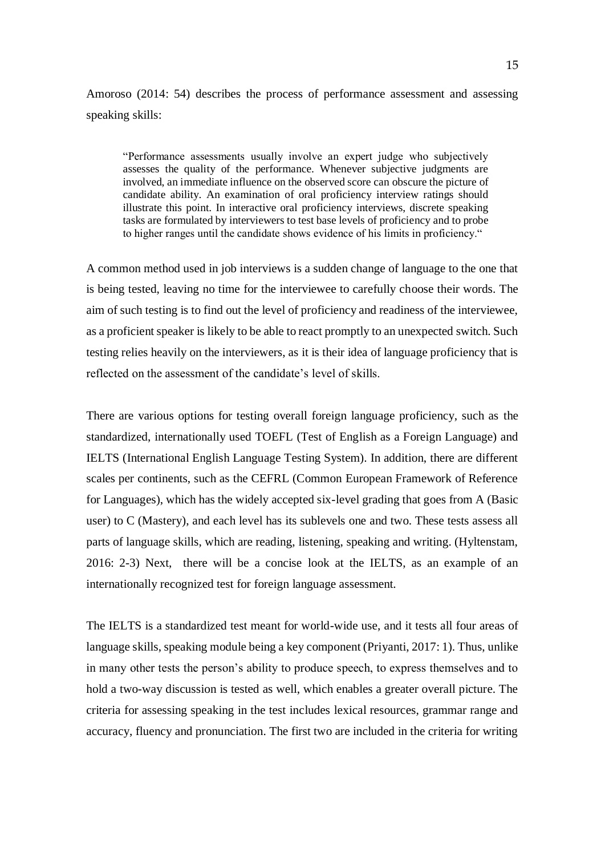Amoroso (2014: 54) describes the process of performance assessment and assessing speaking skills:

"Performance assessments usually involve an expert judge who subjectively assesses the quality of the performance. Whenever subjective judgments are involved, an immediate influence on the observed score can obscure the picture of candidate ability. An examination of oral proficiency interview ratings should illustrate this point. In interactive oral proficiency interviews, discrete speaking tasks are formulated by interviewers to test base levels of proficiency and to probe to higher ranges until the candidate shows evidence of his limits in proficiency."

A common method used in job interviews is a sudden change of language to the one that is being tested, leaving no time for the interviewee to carefully choose their words. The aim of such testing is to find out the level of proficiency and readiness of the interviewee, as a proficient speaker is likely to be able to react promptly to an unexpected switch. Such testing relies heavily on the interviewers, as it is their idea of language proficiency that is reflected on the assessment of the candidate's level of skills.

There are various options for testing overall foreign language proficiency, such as the standardized, internationally used TOEFL (Test of English as a Foreign Language) and IELTS (International English Language Testing System). In addition, there are different scales per continents, such as the CEFRL (Common European Framework of Reference for Languages), which has the widely accepted six-level grading that goes from A (Basic user) to C (Mastery), and each level has its sublevels one and two. These tests assess all parts of language skills, which are reading, listening, speaking and writing. (Hyltenstam, 2016: 2-3) Next, there will be a concise look at the IELTS, as an example of an internationally recognized test for foreign language assessment.

The IELTS is a standardized test meant for world-wide use, and it tests all four areas of language skills, speaking module being a key component (Priyanti, 2017: 1). Thus, unlike in many other tests the person's ability to produce speech, to express themselves and to hold a two-way discussion is tested as well, which enables a greater overall picture. The criteria for assessing speaking in the test includes lexical resources, grammar range and accuracy, fluency and pronunciation. The first two are included in the criteria for writing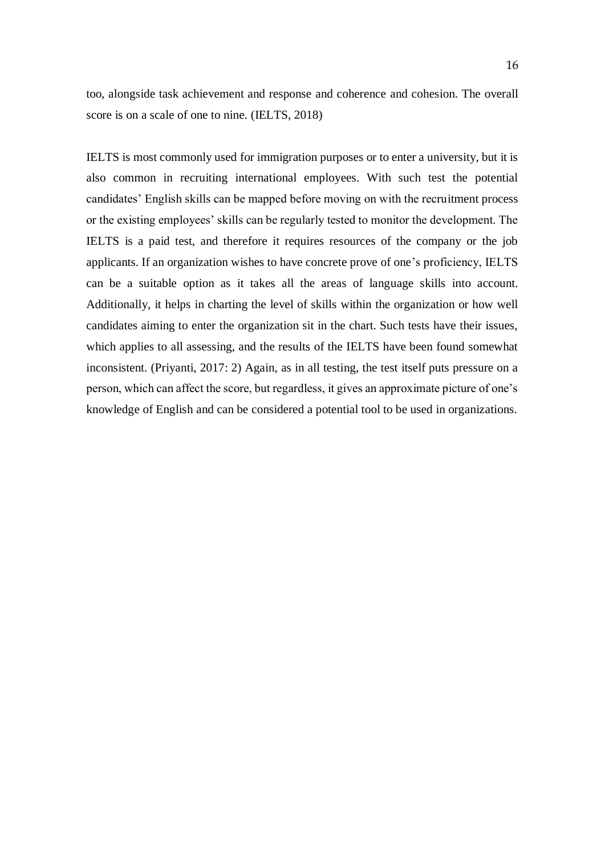too, alongside task achievement and response and coherence and cohesion. The overall score is on a scale of one to nine. (IELTS, 2018)

IELTS is most commonly used for immigration purposes or to enter a university, but it is also common in recruiting international employees. With such test the potential candidates' English skills can be mapped before moving on with the recruitment process or the existing employees' skills can be regularly tested to monitor the development. The IELTS is a paid test, and therefore it requires resources of the company or the job applicants. If an organization wishes to have concrete prove of one's proficiency, IELTS can be a suitable option as it takes all the areas of language skills into account. Additionally, it helps in charting the level of skills within the organization or how well candidates aiming to enter the organization sit in the chart. Such tests have their issues, which applies to all assessing, and the results of the IELTS have been found somewhat inconsistent. (Priyanti, 2017: 2) Again, as in all testing, the test itself puts pressure on a person, which can affect the score, but regardless, it gives an approximate picture of one's knowledge of English and can be considered a potential tool to be used in organizations.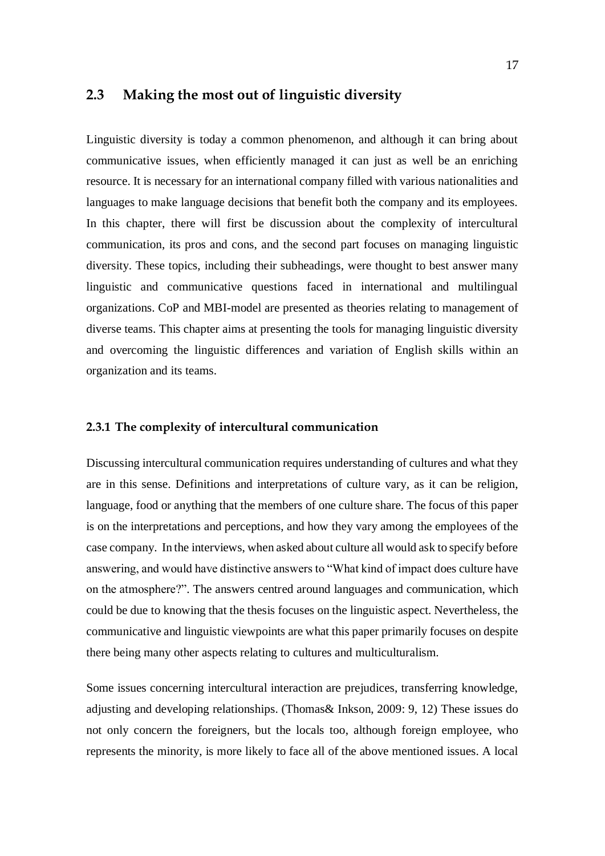### <span id="page-16-0"></span>**2.3 Making the most out of linguistic diversity**

Linguistic diversity is today a common phenomenon, and although it can bring about communicative issues, when efficiently managed it can just as well be an enriching resource. It is necessary for an international company filled with various nationalities and languages to make language decisions that benefit both the company and its employees. In this chapter, there will first be discussion about the complexity of intercultural communication, its pros and cons, and the second part focuses on managing linguistic diversity. These topics, including their subheadings, were thought to best answer many linguistic and communicative questions faced in international and multilingual organizations. CoP and MBI-model are presented as theories relating to management of diverse teams. This chapter aims at presenting the tools for managing linguistic diversity and overcoming the linguistic differences and variation of English skills within an organization and its teams.

### <span id="page-16-1"></span>**2.3.1 The complexity of intercultural communication**

Discussing intercultural communication requires understanding of cultures and what they are in this sense. Definitions and interpretations of culture vary, as it can be religion, language, food or anything that the members of one culture share. The focus of this paper is on the interpretations and perceptions, and how they vary among the employees of the case company. In the interviews, when asked about culture all would ask to specify before answering, and would have distinctive answers to "What kind of impact does culture have on the atmosphere?". The answers centred around languages and communication, which could be due to knowing that the thesis focuses on the linguistic aspect. Nevertheless, the communicative and linguistic viewpoints are what this paper primarily focuses on despite there being many other aspects relating to cultures and multiculturalism.

Some issues concerning intercultural interaction are prejudices, transferring knowledge, adjusting and developing relationships. (Thomas& Inkson, 2009: 9, 12) These issues do not only concern the foreigners, but the locals too, although foreign employee, who represents the minority, is more likely to face all of the above mentioned issues. A local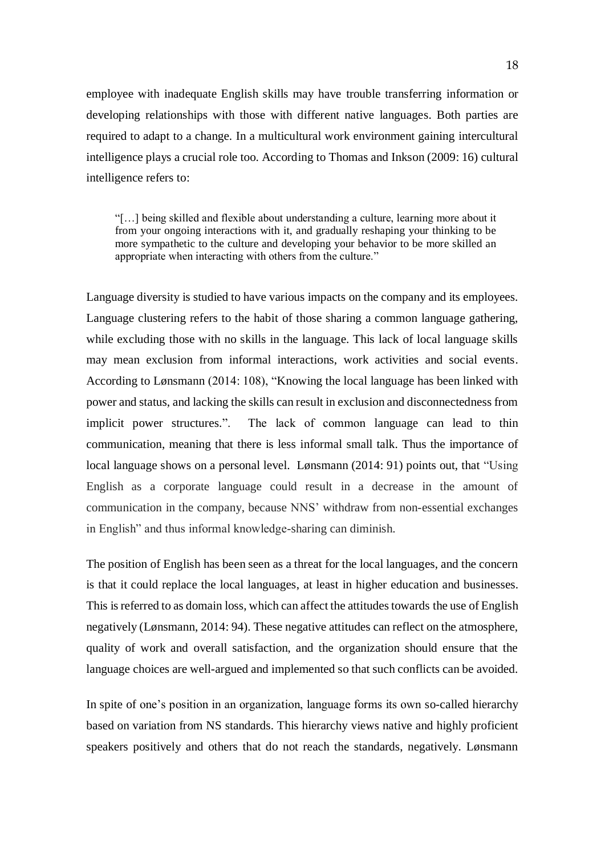employee with inadequate English skills may have trouble transferring information or developing relationships with those with different native languages. Both parties are required to adapt to a change. In a multicultural work environment gaining intercultural intelligence plays a crucial role too. According to Thomas and Inkson (2009: 16) cultural intelligence refers to:

"[…] being skilled and flexible about understanding a culture, learning more about it from your ongoing interactions with it, and gradually reshaping your thinking to be more sympathetic to the culture and developing your behavior to be more skilled an appropriate when interacting with others from the culture."

Language diversity is studied to have various impacts on the company and its employees. Language clustering refers to the habit of those sharing a common language gathering, while excluding those with no skills in the language. This lack of local language skills may mean exclusion from informal interactions, work activities and social events. According to Lønsmann (2014: 108), "Knowing the local language has been linked with power and status, and lacking the skills can result in exclusion and disconnectedness from implicit power structures.". The lack of common language can lead to thin communication, meaning that there is less informal small talk. Thus the importance of local language shows on a personal level. Lønsmann (2014: 91) points out, that "Using English as a corporate language could result in a decrease in the amount of communication in the company, because NNS' withdraw from non-essential exchanges in English" and thus informal knowledge-sharing can diminish.

The position of English has been seen as a threat for the local languages, and the concern is that it could replace the local languages, at least in higher education and businesses. This is referred to as domain loss, which can affect the attitudes towards the use of English negatively (Lønsmann, 2014: 94). These negative attitudes can reflect on the atmosphere, quality of work and overall satisfaction, and the organization should ensure that the language choices are well-argued and implemented so that such conflicts can be avoided.

In spite of one's position in an organization, language forms its own so-called hierarchy based on variation from NS standards. This hierarchy views native and highly proficient speakers positively and others that do not reach the standards, negatively. Lønsmann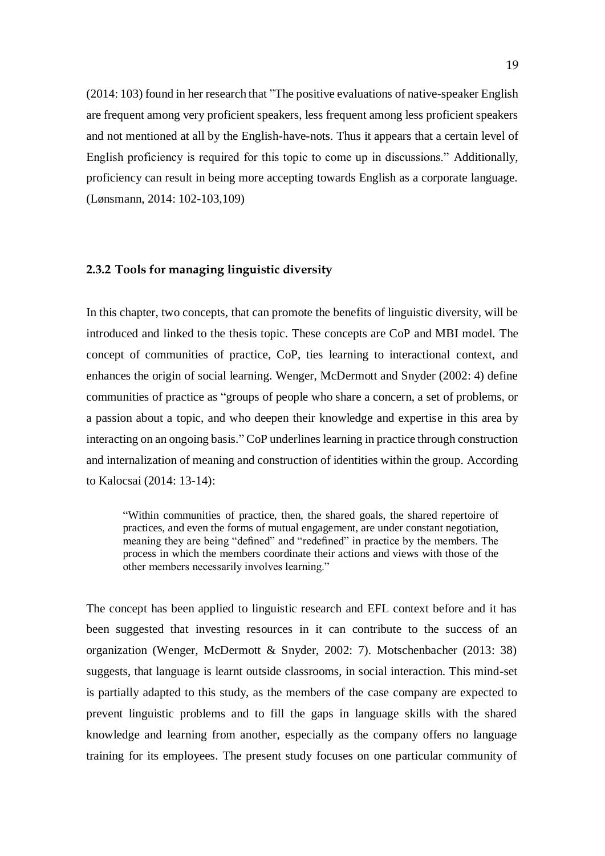(2014: 103) found in her research that "The positive evaluations of native-speaker English are frequent among very proficient speakers, less frequent among less proficient speakers and not mentioned at all by the English-have-nots. Thus it appears that a certain level of English proficiency is required for this topic to come up in discussions." Additionally, proficiency can result in being more accepting towards English as a corporate language. (Lønsmann, 2014: 102-103,109)

### <span id="page-18-0"></span>**2.3.2 Tools for managing linguistic diversity**

In this chapter, two concepts, that can promote the benefits of linguistic diversity, will be introduced and linked to the thesis topic. These concepts are CoP and MBI model. The concept of communities of practice, CoP, ties learning to interactional context, and enhances the origin of social learning. Wenger, McDermott and Snyder (2002: 4) define communities of practice as "groups of people who share a concern, a set of problems, or a passion about a topic, and who deepen their knowledge and expertise in this area by interacting on an ongoing basis." CoP underlines learning in practice through construction and internalization of meaning and construction of identities within the group. According to Kalocsai (2014: 13-14):

"Within communities of practice, then, the shared goals, the shared repertoire of practices, and even the forms of mutual engagement, are under constant negotiation, meaning they are being "defined" and "redefined" in practice by the members. The process in which the members coordinate their actions and views with those of the other members necessarily involves learning."

The concept has been applied to linguistic research and EFL context before and it has been suggested that investing resources in it can contribute to the success of an organization (Wenger, McDermott & Snyder, 2002: 7). Motschenbacher (2013: 38) suggests, that language is learnt outside classrooms, in social interaction. This mind-set is partially adapted to this study, as the members of the case company are expected to prevent linguistic problems and to fill the gaps in language skills with the shared knowledge and learning from another, especially as the company offers no language training for its employees. The present study focuses on one particular community of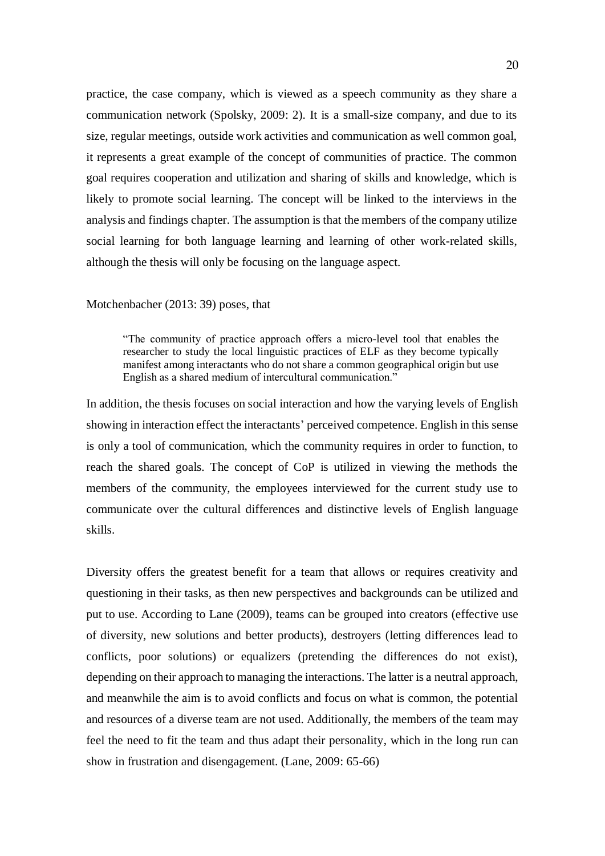practice, the case company, which is viewed as a speech community as they share a communication network (Spolsky, 2009: 2). It is a small-size company, and due to its size, regular meetings, outside work activities and communication as well common goal, it represents a great example of the concept of communities of practice. The common goal requires cooperation and utilization and sharing of skills and knowledge, which is likely to promote social learning. The concept will be linked to the interviews in the analysis and findings chapter. The assumption is that the members of the company utilize social learning for both language learning and learning of other work-related skills, although the thesis will only be focusing on the language aspect.

#### Motchenbacher (2013: 39) poses, that

"The community of practice approach offers a micro-level tool that enables the researcher to study the local linguistic practices of ELF as they become typically manifest among interactants who do not share a common geographical origin but use English as a shared medium of intercultural communication."

In addition, the thesis focuses on social interaction and how the varying levels of English showing in interaction effect the interactants' perceived competence. English in this sense is only a tool of communication, which the community requires in order to function, to reach the shared goals. The concept of CoP is utilized in viewing the methods the members of the community, the employees interviewed for the current study use to communicate over the cultural differences and distinctive levels of English language skills.

Diversity offers the greatest benefit for a team that allows or requires creativity and questioning in their tasks, as then new perspectives and backgrounds can be utilized and put to use. According to Lane (2009), teams can be grouped into creators (effective use of diversity, new solutions and better products), destroyers (letting differences lead to conflicts, poor solutions) or equalizers (pretending the differences do not exist), depending on their approach to managing the interactions. The latter is a neutral approach, and meanwhile the aim is to avoid conflicts and focus on what is common, the potential and resources of a diverse team are not used. Additionally, the members of the team may feel the need to fit the team and thus adapt their personality, which in the long run can show in frustration and disengagement. (Lane, 2009: 65-66)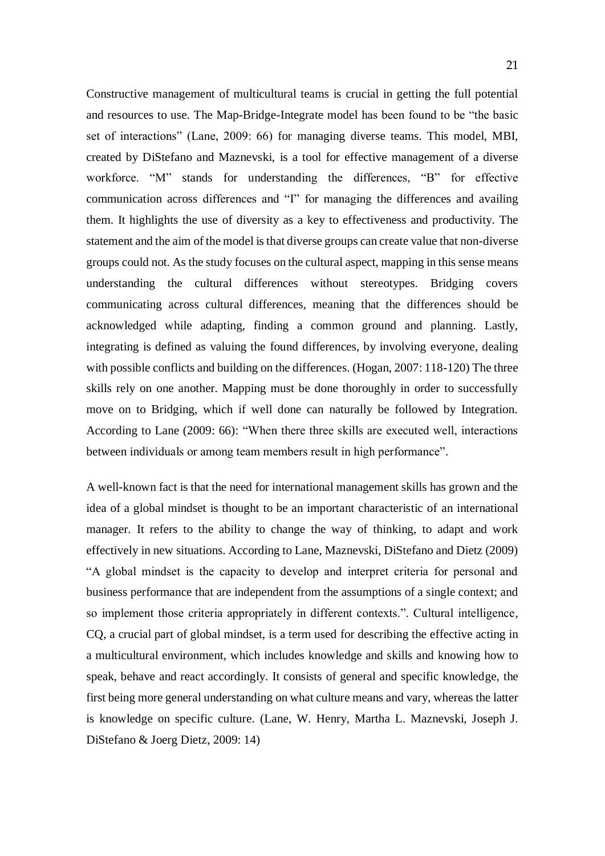Constructive management of multicultural teams is crucial in getting the full potential and resources to use. The Map-Bridge-Integrate model has been found to be "the basic set of interactions" (Lane, 2009: 66) for managing diverse teams. This model, MBI, created by DiStefano and Maznevski, is a tool for effective management of a diverse workforce. "M" stands for understanding the differences, "B" for effective communication across differences and "I" for managing the differences and availing them. It highlights the use of diversity as a key to effectiveness and productivity. The statement and the aim of the model is that diverse groups can create value that non-diverse groups could not. As the study focuses on the cultural aspect, mapping in this sense means understanding the cultural differences without stereotypes. Bridging covers communicating across cultural differences, meaning that the differences should be acknowledged while adapting, finding a common ground and planning. Lastly, integrating is defined as valuing the found differences, by involving everyone, dealing with possible conflicts and building on the differences. (Hogan, 2007: 118-120) The three skills rely on one another. Mapping must be done thoroughly in order to successfully move on to Bridging, which if well done can naturally be followed by Integration. According to Lane (2009: 66): "When there three skills are executed well, interactions between individuals or among team members result in high performance".

A well-known fact is that the need for international management skills has grown and the idea of a global mindset is thought to be an important characteristic of an international manager. It refers to the ability to change the way of thinking, to adapt and work effectively in new situations. According to Lane, Maznevski, DiStefano and Dietz (2009) "A global mindset is the capacity to develop and interpret criteria for personal and business performance that are independent from the assumptions of a single context; and so implement those criteria appropriately in different contexts.". Cultural intelligence, CQ, a crucial part of global mindset, is a term used for describing the effective acting in a multicultural environment, which includes knowledge and skills and knowing how to speak, behave and react accordingly. It consists of general and specific knowledge, the first being more general understanding on what culture means and vary, whereas the latter is knowledge on specific culture. (Lane, W. Henry, Martha L. Maznevski, Joseph J. DiStefano & Joerg Dietz, 2009: 14)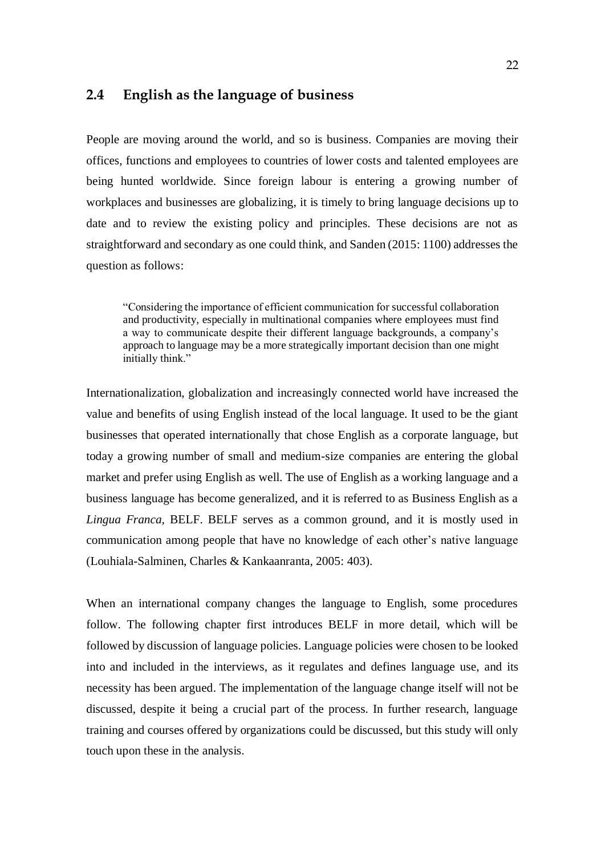### <span id="page-21-0"></span>**2.4 English as the language of business**

People are moving around the world, and so is business. Companies are moving their offices, functions and employees to countries of lower costs and talented employees are being hunted worldwide. Since foreign labour is entering a growing number of workplaces and businesses are globalizing, it is timely to bring language decisions up to date and to review the existing policy and principles. These decisions are not as straightforward and secondary as one could think, and Sanden (2015: 1100) addresses the question as follows:

"Considering the importance of efficient communication for successful collaboration and productivity, especially in multinational companies where employees must find a way to communicate despite their different language backgrounds, a company's approach to language may be a more strategically important decision than one might initially think."

Internationalization, globalization and increasingly connected world have increased the value and benefits of using English instead of the local language. It used to be the giant businesses that operated internationally that chose English as a corporate language, but today a growing number of small and medium-size companies are entering the global market and prefer using English as well. The use of English as a working language and a business language has become generalized, and it is referred to as Business English as a *Lingua Franca,* BELF. BELF serves as a common ground, and it is mostly used in communication among people that have no knowledge of each other's native language (Louhiala-Salminen, Charles & Kankaanranta, 2005: 403).

When an international company changes the language to English, some procedures follow. The following chapter first introduces BELF in more detail, which will be followed by discussion of language policies. Language policies were chosen to be looked into and included in the interviews, as it regulates and defines language use, and its necessity has been argued. The implementation of the language change itself will not be discussed, despite it being a crucial part of the process. In further research, language training and courses offered by organizations could be discussed, but this study will only touch upon these in the analysis.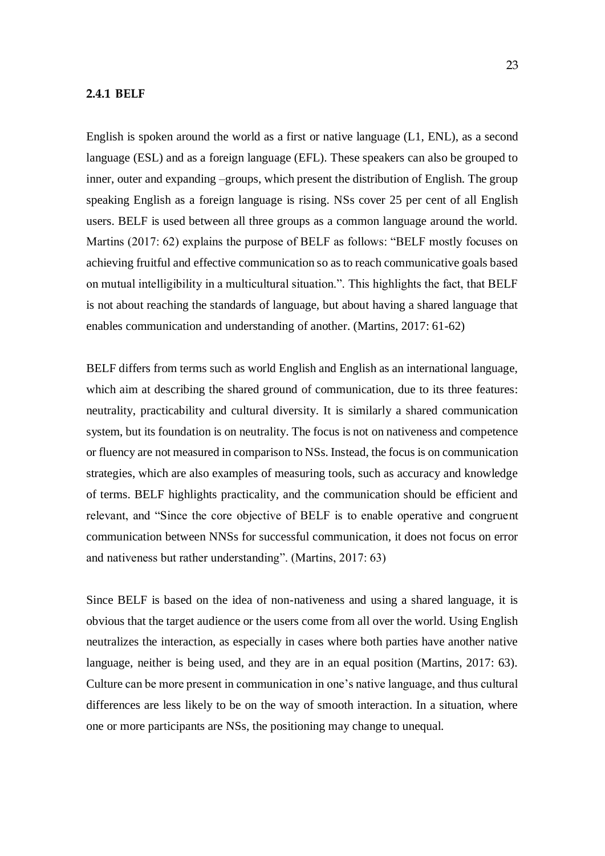#### <span id="page-22-0"></span>**2.4.1 BELF**

English is spoken around the world as a first or native language (L1, ENL), as a second language (ESL) and as a foreign language (EFL). These speakers can also be grouped to inner, outer and expanding –groups, which present the distribution of English. The group speaking English as a foreign language is rising. NSs cover 25 per cent of all English users. BELF is used between all three groups as a common language around the world. Martins (2017: 62) explains the purpose of BELF as follows: "BELF mostly focuses on achieving fruitful and effective communication so as to reach communicative goals based on mutual intelligibility in a multicultural situation.". This highlights the fact, that BELF is not about reaching the standards of language, but about having a shared language that enables communication and understanding of another. (Martins, 2017: 61-62)

BELF differs from terms such as world English and English as an international language, which aim at describing the shared ground of communication, due to its three features: neutrality, practicability and cultural diversity. It is similarly a shared communication system, but its foundation is on neutrality. The focus is not on nativeness and competence or fluency are not measured in comparison to NSs. Instead, the focus is on communication strategies, which are also examples of measuring tools, such as accuracy and knowledge of terms. BELF highlights practicality, and the communication should be efficient and relevant, and "Since the core objective of BELF is to enable operative and congruent communication between NNSs for successful communication, it does not focus on error and nativeness but rather understanding". (Martins, 2017: 63)

Since BELF is based on the idea of non-nativeness and using a shared language, it is obvious that the target audience or the users come from all over the world. Using English neutralizes the interaction, as especially in cases where both parties have another native language, neither is being used, and they are in an equal position (Martins, 2017: 63). Culture can be more present in communication in one's native language, and thus cultural differences are less likely to be on the way of smooth interaction. In a situation, where one or more participants are NSs, the positioning may change to unequal.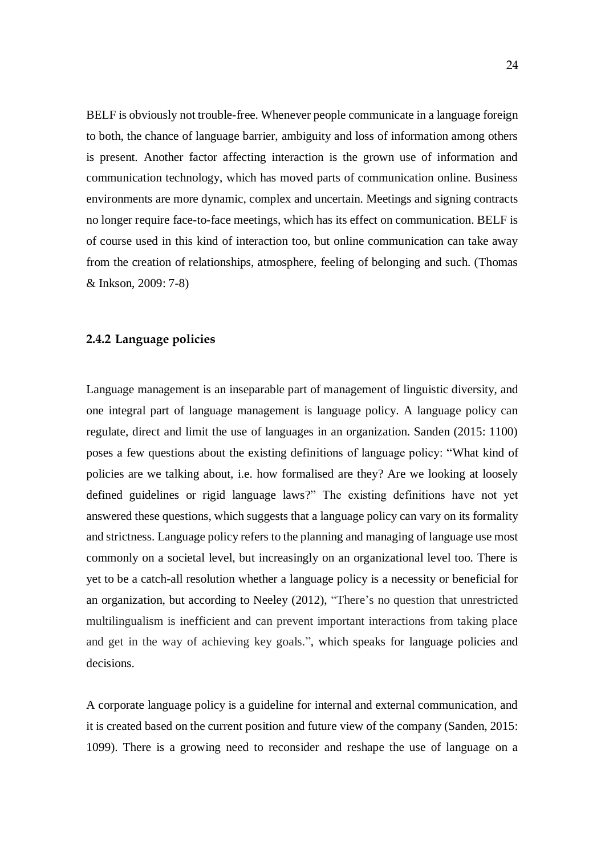BELF is obviously not trouble-free. Whenever people communicate in a language foreign to both, the chance of language barrier, ambiguity and loss of information among others is present. Another factor affecting interaction is the grown use of information and communication technology, which has moved parts of communication online. Business environments are more dynamic, complex and uncertain. Meetings and signing contracts no longer require face-to-face meetings, which has its effect on communication. BELF is of course used in this kind of interaction too, but online communication can take away from the creation of relationships, atmosphere, feeling of belonging and such. (Thomas & Inkson, 2009: 7-8)

### <span id="page-23-0"></span>**2.4.2 Language policies**

Language management is an inseparable part of management of linguistic diversity, and one integral part of language management is language policy. A language policy can regulate, direct and limit the use of languages in an organization. Sanden (2015: 1100) poses a few questions about the existing definitions of language policy: "What kind of policies are we talking about, i.e. how formalised are they? Are we looking at loosely defined guidelines or rigid language laws?" The existing definitions have not yet answered these questions, which suggests that a language policy can vary on its formality and strictness. Language policy refers to the planning and managing of language use most commonly on a societal level, but increasingly on an organizational level too. There is yet to be a catch-all resolution whether a language policy is a necessity or beneficial for an organization, but according to Neeley (2012), "There's no question that unrestricted multilingualism is inefficient and can prevent important interactions from taking place and get in the way of achieving key goals.", which speaks for language policies and decisions.

A corporate language policy is a guideline for internal and external communication, and it is created based on the current position and future view of the company (Sanden, 2015: 1099). There is a growing need to reconsider and reshape the use of language on a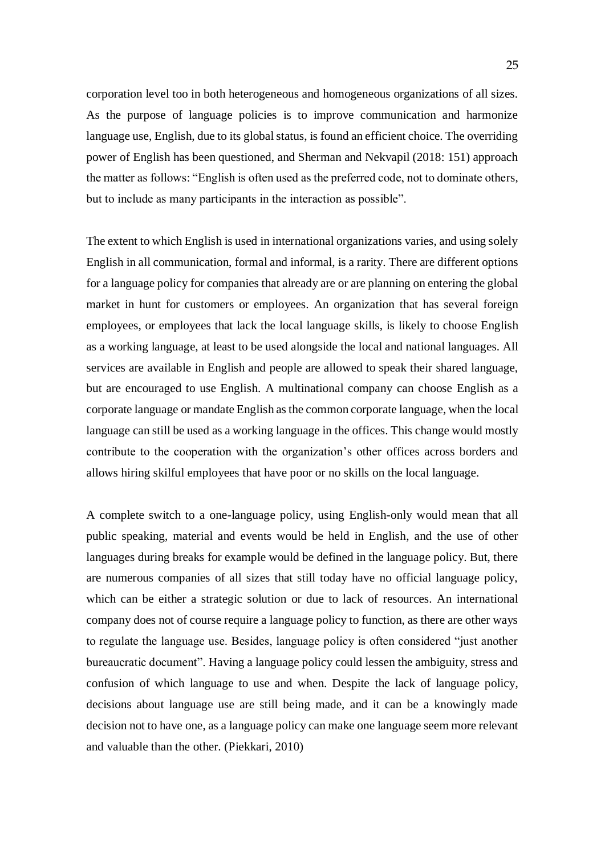corporation level too in both heterogeneous and homogeneous organizations of all sizes. As the purpose of language policies is to improve communication and harmonize language use, English, due to its global status, is found an efficient choice. The overriding power of English has been questioned, and Sherman and Nekvapil (2018: 151) approach the matter as follows: "English is often used as the preferred code, not to dominate others, but to include as many participants in the interaction as possible".

The extent to which English is used in international organizations varies, and using solely English in all communication, formal and informal, is a rarity. There are different options for a language policy for companies that already are or are planning on entering the global market in hunt for customers or employees. An organization that has several foreign employees, or employees that lack the local language skills, is likely to choose English as a working language, at least to be used alongside the local and national languages. All services are available in English and people are allowed to speak their shared language, but are encouraged to use English. A multinational company can choose English as a corporate language or mandate English as the common corporate language, when the local language can still be used as a working language in the offices. This change would mostly contribute to the cooperation with the organization's other offices across borders and allows hiring skilful employees that have poor or no skills on the local language.

A complete switch to a one-language policy, using English-only would mean that all public speaking, material and events would be held in English, and the use of other languages during breaks for example would be defined in the language policy. But, there are numerous companies of all sizes that still today have no official language policy, which can be either a strategic solution or due to lack of resources. An international company does not of course require a language policy to function, as there are other ways to regulate the language use. Besides, language policy is often considered "just another bureaucratic document". Having a language policy could lessen the ambiguity, stress and confusion of which language to use and when. Despite the lack of language policy, decisions about language use are still being made, and it can be a knowingly made decision not to have one, as a language policy can make one language seem more relevant and valuable than the other. (Piekkari, 2010)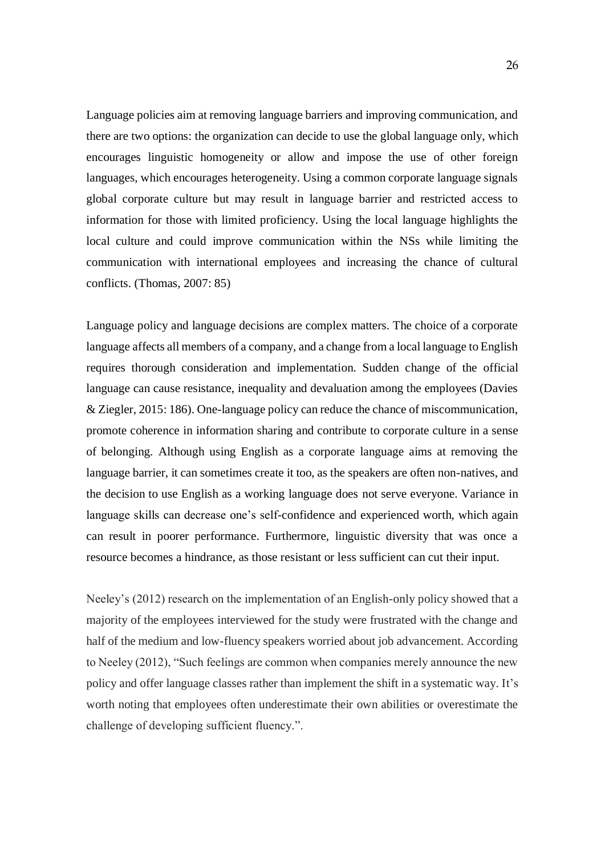Language policies aim at removing language barriers and improving communication, and there are two options: the organization can decide to use the global language only, which encourages linguistic homogeneity or allow and impose the use of other foreign languages, which encourages heterogeneity. Using a common corporate language signals global corporate culture but may result in language barrier and restricted access to information for those with limited proficiency. Using the local language highlights the local culture and could improve communication within the NSs while limiting the communication with international employees and increasing the chance of cultural conflicts. (Thomas, 2007: 85)

Language policy and language decisions are complex matters. The choice of a corporate language affects all members of a company, and a change from a local language to English requires thorough consideration and implementation. Sudden change of the official language can cause resistance, inequality and devaluation among the employees (Davies & Ziegler, 2015: 186). One-language policy can reduce the chance of miscommunication, promote coherence in information sharing and contribute to corporate culture in a sense of belonging. Although using English as a corporate language aims at removing the language barrier, it can sometimes create it too, as the speakers are often non-natives, and the decision to use English as a working language does not serve everyone. Variance in language skills can decrease one's self-confidence and experienced worth, which again can result in poorer performance. Furthermore, linguistic diversity that was once a resource becomes a hindrance, as those resistant or less sufficient can cut their input.

Neeley's (2012) research on the implementation of an English-only policy showed that a majority of the employees interviewed for the study were frustrated with the change and half of the medium and low-fluency speakers worried about job advancement. According to Neeley (2012), "Such feelings are common when companies merely announce the new policy and offer language classes rather than implement the shift in a systematic way. It's worth noting that employees often underestimate their own abilities or overestimate the challenge of developing sufficient fluency.".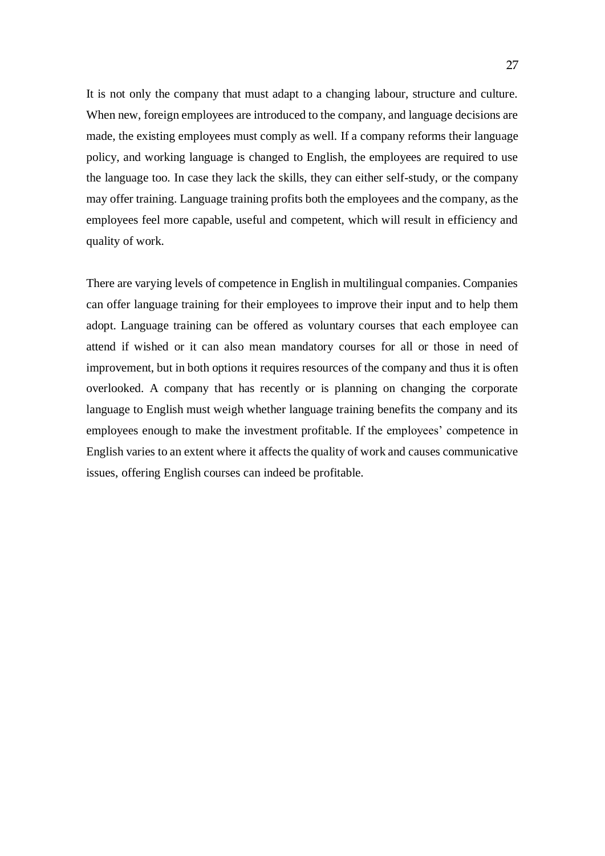It is not only the company that must adapt to a changing labour, structure and culture. When new, foreign employees are introduced to the company, and language decisions are made, the existing employees must comply as well. If a company reforms their language policy, and working language is changed to English, the employees are required to use the language too. In case they lack the skills, they can either self-study, or the company may offer training. Language training profits both the employees and the company, as the employees feel more capable, useful and competent, which will result in efficiency and quality of work.

There are varying levels of competence in English in multilingual companies. Companies can offer language training for their employees to improve their input and to help them adopt. Language training can be offered as voluntary courses that each employee can attend if wished or it can also mean mandatory courses for all or those in need of improvement, but in both options it requires resources of the company and thus it is often overlooked. A company that has recently or is planning on changing the corporate language to English must weigh whether language training benefits the company and its employees enough to make the investment profitable. If the employees' competence in English varies to an extent where it affects the quality of work and causes communicative issues, offering English courses can indeed be profitable.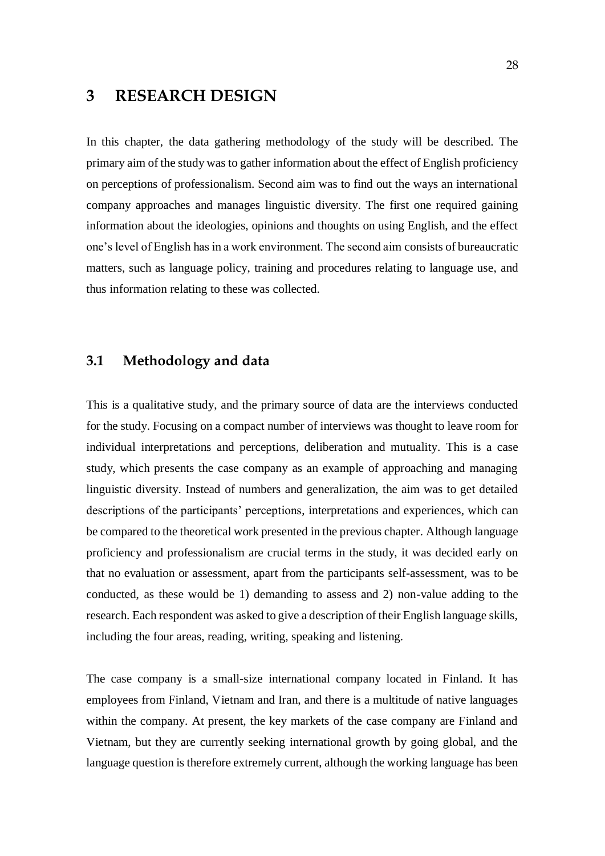# <span id="page-27-0"></span>**3 RESEARCH DESIGN**

In this chapter, the data gathering methodology of the study will be described. The primary aim of the study was to gather information about the effect of English proficiency on perceptions of professionalism. Second aim was to find out the ways an international company approaches and manages linguistic diversity. The first one required gaining information about the ideologies, opinions and thoughts on using English, and the effect one's level of English has in a work environment. The second aim consists of bureaucratic matters, such as language policy, training and procedures relating to language use, and thus information relating to these was collected.

# <span id="page-27-1"></span>**3.1 Methodology and data**

This is a qualitative study, and the primary source of data are the interviews conducted for the study. Focusing on a compact number of interviews was thought to leave room for individual interpretations and perceptions, deliberation and mutuality. This is a case study, which presents the case company as an example of approaching and managing linguistic diversity. Instead of numbers and generalization, the aim was to get detailed descriptions of the participants' perceptions, interpretations and experiences, which can be compared to the theoretical work presented in the previous chapter. Although language proficiency and professionalism are crucial terms in the study, it was decided early on that no evaluation or assessment, apart from the participants self-assessment, was to be conducted, as these would be 1) demanding to assess and 2) non-value adding to the research. Each respondent was asked to give a description of their English language skills, including the four areas, reading, writing, speaking and listening.

The case company is a small-size international company located in Finland. It has employees from Finland, Vietnam and Iran, and there is a multitude of native languages within the company. At present, the key markets of the case company are Finland and Vietnam, but they are currently seeking international growth by going global, and the language question is therefore extremely current, although the working language has been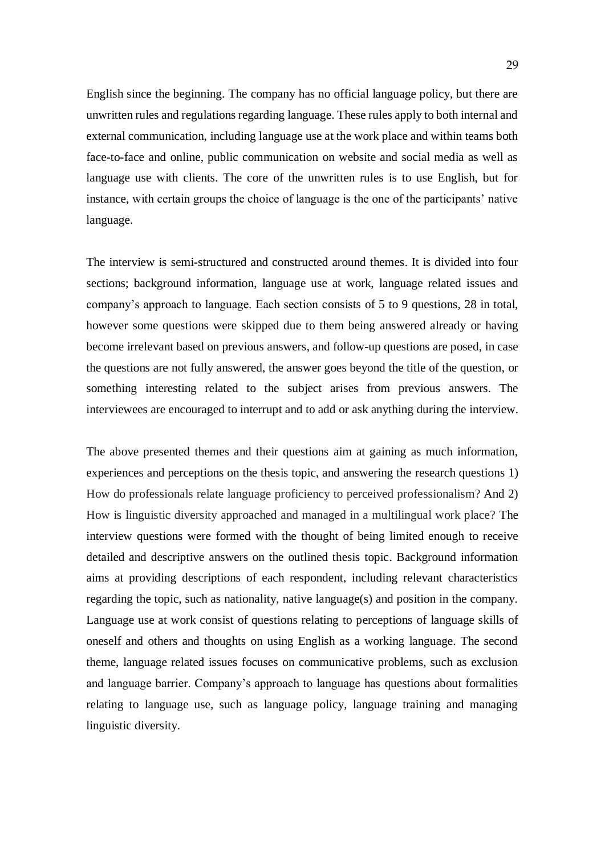English since the beginning. The company has no official language policy, but there are unwritten rules and regulations regarding language. These rules apply to both internal and external communication, including language use at the work place and within teams both face-to-face and online, public communication on website and social media as well as language use with clients. The core of the unwritten rules is to use English, but for instance, with certain groups the choice of language is the one of the participants' native language.

The interview is semi-structured and constructed around themes. It is divided into four sections; background information, language use at work, language related issues and company's approach to language. Each section consists of 5 to 9 questions, 28 in total, however some questions were skipped due to them being answered already or having become irrelevant based on previous answers, and follow-up questions are posed, in case the questions are not fully answered, the answer goes beyond the title of the question, or something interesting related to the subject arises from previous answers. The interviewees are encouraged to interrupt and to add or ask anything during the interview.

The above presented themes and their questions aim at gaining as much information, experiences and perceptions on the thesis topic, and answering the research questions 1) How do professionals relate language proficiency to perceived professionalism? And 2) How is linguistic diversity approached and managed in a multilingual work place? The interview questions were formed with the thought of being limited enough to receive detailed and descriptive answers on the outlined thesis topic. Background information aims at providing descriptions of each respondent, including relevant characteristics regarding the topic, such as nationality, native language(s) and position in the company. Language use at work consist of questions relating to perceptions of language skills of oneself and others and thoughts on using English as a working language. The second theme, language related issues focuses on communicative problems, such as exclusion and language barrier. Company's approach to language has questions about formalities relating to language use, such as language policy, language training and managing linguistic diversity.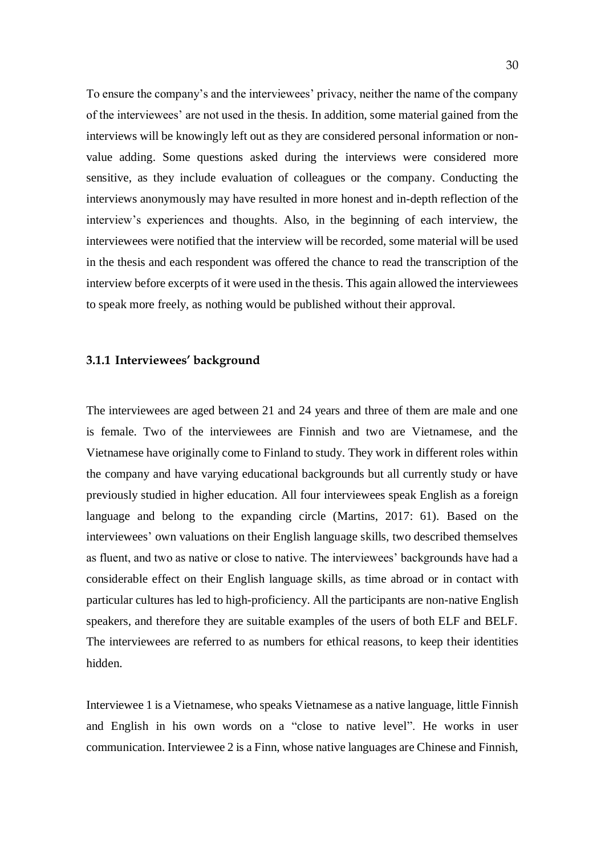To ensure the company's and the interviewees' privacy, neither the name of the company of the interviewees' are not used in the thesis. In addition, some material gained from the interviews will be knowingly left out as they are considered personal information or nonvalue adding. Some questions asked during the interviews were considered more sensitive, as they include evaluation of colleagues or the company. Conducting the interviews anonymously may have resulted in more honest and in-depth reflection of the interview's experiences and thoughts. Also, in the beginning of each interview, the interviewees were notified that the interview will be recorded, some material will be used in the thesis and each respondent was offered the chance to read the transcription of the interview before excerpts of it were used in the thesis. This again allowed the interviewees to speak more freely, as nothing would be published without their approval.

#### <span id="page-29-0"></span>**3.1.1 Interviewees' background**

The interviewees are aged between 21 and 24 years and three of them are male and one is female. Two of the interviewees are Finnish and two are Vietnamese, and the Vietnamese have originally come to Finland to study. They work in different roles within the company and have varying educational backgrounds but all currently study or have previously studied in higher education. All four interviewees speak English as a foreign language and belong to the expanding circle (Martins, 2017: 61). Based on the interviewees' own valuations on their English language skills, two described themselves as fluent, and two as native or close to native. The interviewees' backgrounds have had a considerable effect on their English language skills, as time abroad or in contact with particular cultures has led to high-proficiency. All the participants are non-native English speakers, and therefore they are suitable examples of the users of both ELF and BELF. The interviewees are referred to as numbers for ethical reasons, to keep their identities hidden.

Interviewee 1 is a Vietnamese, who speaks Vietnamese as a native language, little Finnish and English in his own words on a "close to native level". He works in user communication. Interviewee 2 is a Finn, whose native languages are Chinese and Finnish,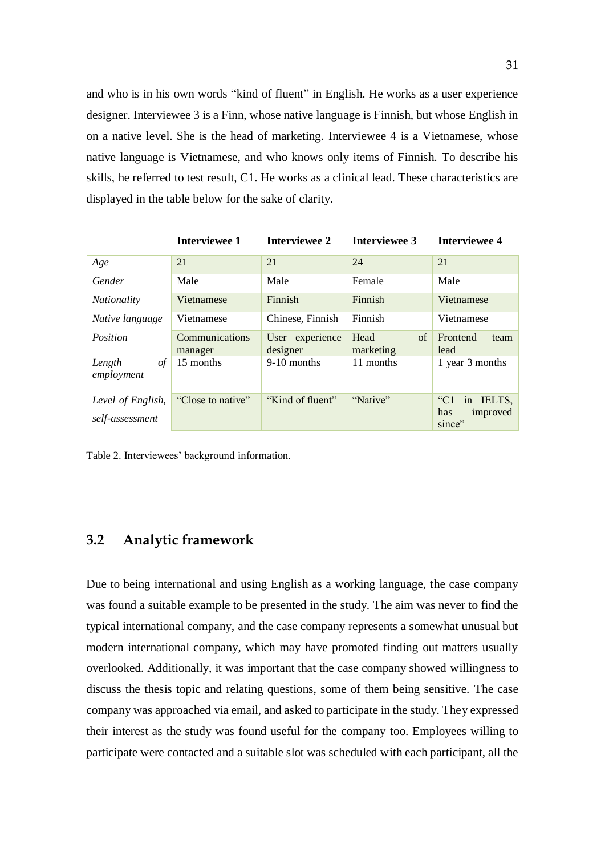and who is in his own words "kind of fluent" in English. He works as a user experience designer. Interviewee 3 is a Finn, whose native language is Finnish, but whose English in on a native level. She is the head of marketing. Interviewee 4 is a Vietnamese, whose native language is Vietnamese, and who knows only items of Finnish. To describe his skills, he referred to test result, C1. He works as a clinical lead. These characteristics are displayed in the table below for the sake of clarity.

|                                      | <b>Interviewee 1</b>      | <b>Interviewee 2</b>        | <b>Interviewee 3</b>    | <b>Interviewee 4</b>                                   |
|--------------------------------------|---------------------------|-----------------------------|-------------------------|--------------------------------------------------------|
| Age                                  | 21                        | 21                          | 24                      | 21                                                     |
| Gender                               | Male                      | Male                        | Female                  | Male                                                   |
| <i>Nationality</i>                   | Vietnamese                | Finnish                     | Finnish                 | Vietnamese                                             |
| Native language                      | Vietnamese                | Chinese, Finnish            | Finnish                 | Vietnamese                                             |
| Position                             | Communications<br>manager | User experience<br>designer | Head<br>of<br>marketing | Frontend<br>team<br>lead                               |
| of<br>Length<br>employment           | 15 months                 | 9-10 months                 | 11 months               | 1 year 3 months                                        |
| Level of English,<br>self-assessment | "Close to native"         | "Kind of fluent"            | "Native"                | in IELTS,<br>$C_{\rm C1}$<br>has<br>improved<br>since" |

Table 2. Interviewees' background information.

# <span id="page-30-0"></span>**3.2 Analytic framework**

Due to being international and using English as a working language, the case company was found a suitable example to be presented in the study. The aim was never to find the typical international company, and the case company represents a somewhat unusual but modern international company, which may have promoted finding out matters usually overlooked. Additionally, it was important that the case company showed willingness to discuss the thesis topic and relating questions, some of them being sensitive. The case company was approached via email, and asked to participate in the study. They expressed their interest as the study was found useful for the company too. Employees willing to participate were contacted and a suitable slot was scheduled with each participant, all the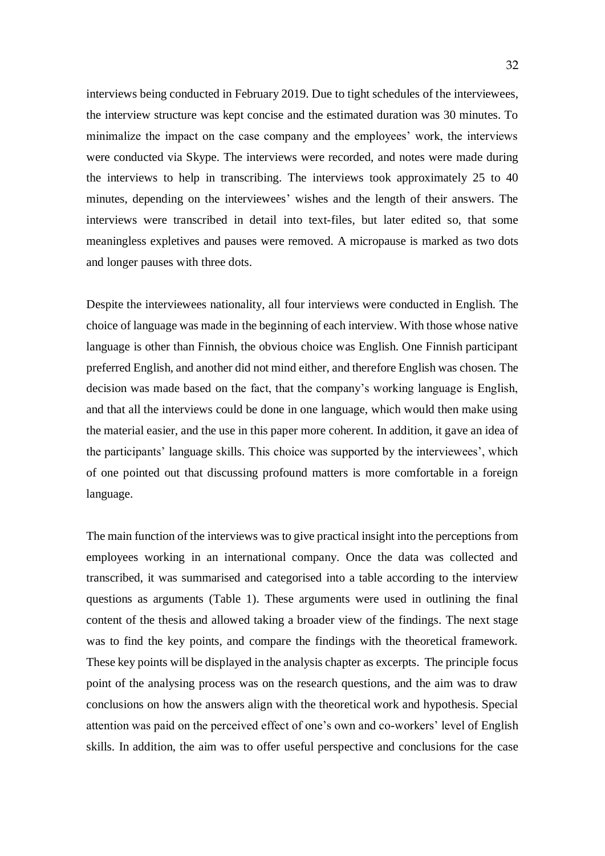interviews being conducted in February 2019. Due to tight schedules of the interviewees, the interview structure was kept concise and the estimated duration was 30 minutes. To minimalize the impact on the case company and the employees' work, the interviews were conducted via Skype. The interviews were recorded, and notes were made during the interviews to help in transcribing. The interviews took approximately 25 to 40 minutes, depending on the interviewees' wishes and the length of their answers. The interviews were transcribed in detail into text-files, but later edited so, that some meaningless expletives and pauses were removed. A micropause is marked as two dots and longer pauses with three dots.

Despite the interviewees nationality, all four interviews were conducted in English. The choice of language was made in the beginning of each interview. With those whose native language is other than Finnish, the obvious choice was English. One Finnish participant preferred English, and another did not mind either, and therefore English was chosen. The decision was made based on the fact, that the company's working language is English, and that all the interviews could be done in one language, which would then make using the material easier, and the use in this paper more coherent. In addition, it gave an idea of the participants' language skills. This choice was supported by the interviewees', which of one pointed out that discussing profound matters is more comfortable in a foreign language.

The main function of the interviews was to give practical insight into the perceptions from employees working in an international company. Once the data was collected and transcribed, it was summarised and categorised into a table according to the interview questions as arguments (Table 1). These arguments were used in outlining the final content of the thesis and allowed taking a broader view of the findings. The next stage was to find the key points, and compare the findings with the theoretical framework. These key points will be displayed in the analysis chapter as excerpts. The principle focus point of the analysing process was on the research questions, and the aim was to draw conclusions on how the answers align with the theoretical work and hypothesis. Special attention was paid on the perceived effect of one's own and co-workers' level of English skills. In addition, the aim was to offer useful perspective and conclusions for the case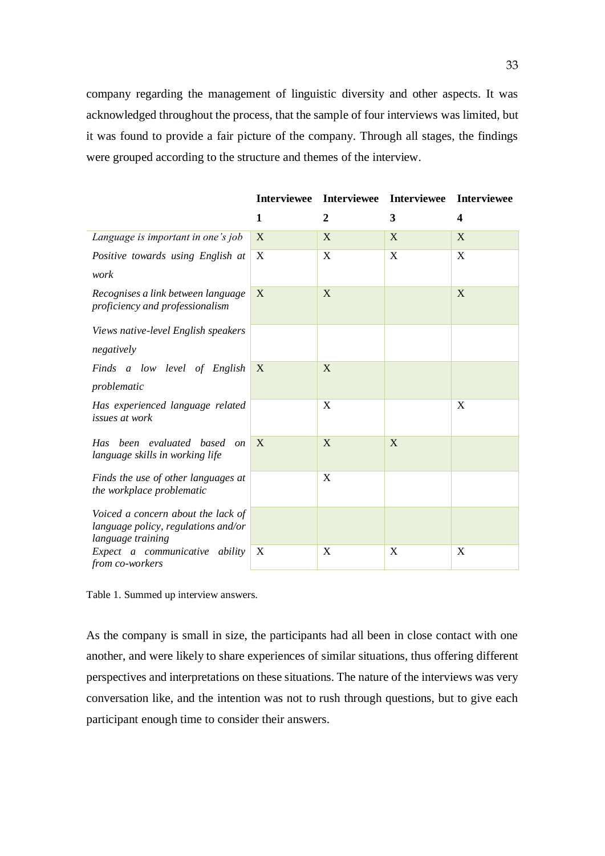company regarding the management of linguistic diversity and other aspects. It was acknowledged throughout the process, that the sample of four interviews was limited, but it was found to provide a fair picture of the company. Through all stages, the findings were grouped according to the structure and themes of the interview.

|                                                                                                |                  | Interviewee Interviewee | <b>Interviewee</b> | <b>Interviewee</b> |
|------------------------------------------------------------------------------------------------|------------------|-------------------------|--------------------|--------------------|
|                                                                                                | 1                | $\overline{2}$          | 3                  | $\boldsymbol{4}$   |
| Language is important in one's job                                                             | X                | X                       | X                  | X                  |
| Positive towards using English at                                                              | X                | X                       | X                  | X                  |
| work                                                                                           |                  |                         |                    |                    |
| Recognises a link between language<br>proficiency and professionalism                          | X                | X                       |                    | X                  |
| Views native-level English speakers<br>negatively                                              |                  |                         |                    |                    |
| Finds a low level of English<br>problematic                                                    | X                | X                       |                    |                    |
| Has experienced language related<br>issues at work                                             |                  | X                       |                    | X                  |
| Has been evaluated based<br><i>on</i><br>language skills in working life                       | X                | X                       | X                  |                    |
| Finds the use of other languages at<br>the workplace problematic                               |                  | X                       |                    |                    |
| Voiced a concern about the lack of<br>language policy, regulations and/or<br>language training |                  |                         |                    |                    |
| Expect a communicative ability<br>from co-workers                                              | $\boldsymbol{X}$ | X                       | X                  | X                  |

Table 1. Summed up interview answers.

As the company is small in size, the participants had all been in close contact with one another, and were likely to share experiences of similar situations, thus offering different perspectives and interpretations on these situations. The nature of the interviews was very conversation like, and the intention was not to rush through questions, but to give each participant enough time to consider their answers.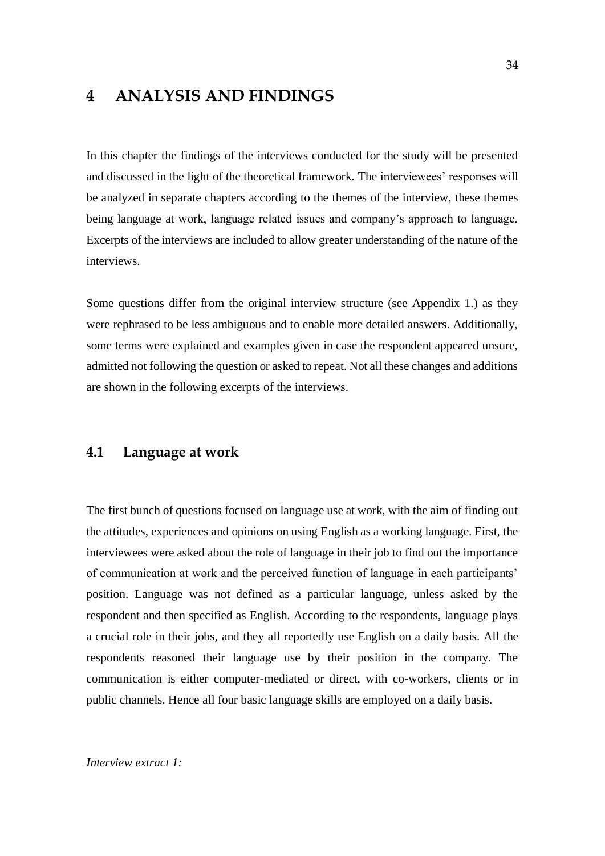# <span id="page-33-0"></span>**4 ANALYSIS AND FINDINGS**

In this chapter the findings of the interviews conducted for the study will be presented and discussed in the light of the theoretical framework. The interviewees' responses will be analyzed in separate chapters according to the themes of the interview, these themes being language at work, language related issues and company's approach to language. Excerpts of the interviews are included to allow greater understanding of the nature of the interviews.

Some questions differ from the original interview structure (see Appendix 1.) as they were rephrased to be less ambiguous and to enable more detailed answers. Additionally, some terms were explained and examples given in case the respondent appeared unsure, admitted not following the question or asked to repeat. Not all these changes and additions are shown in the following excerpts of the interviews.

# <span id="page-33-1"></span>**4.1 Language at work**

The first bunch of questions focused on language use at work, with the aim of finding out the attitudes, experiences and opinions on using English as a working language. First, the interviewees were asked about the role of language in their job to find out the importance of communication at work and the perceived function of language in each participants' position. Language was not defined as a particular language, unless asked by the respondent and then specified as English. According to the respondents, language plays a crucial role in their jobs, and they all reportedly use English on a daily basis. All the respondents reasoned their language use by their position in the company. The communication is either computer-mediated or direct, with co-workers, clients or in public channels. Hence all four basic language skills are employed on a daily basis.

#### *Interview extract 1:*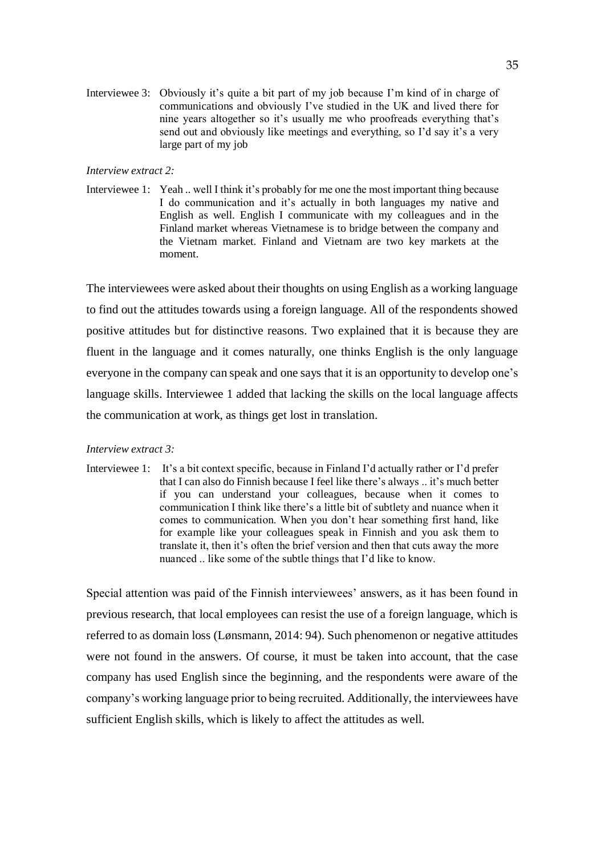Interviewee 3: Obviously it's quite a bit part of my job because I'm kind of in charge of communications and obviously I've studied in the UK and lived there for nine years altogether so it's usually me who proofreads everything that's send out and obviously like meetings and everything, so I'd say it's a very large part of my job

#### *Interview extract 2:*

Interviewee 1: Yeah .. well I think it's probably for me one the most important thing because I do communication and it's actually in both languages my native and English as well. English I communicate with my colleagues and in the Finland market whereas Vietnamese is to bridge between the company and the Vietnam market. Finland and Vietnam are two key markets at the moment.

The interviewees were asked about their thoughts on using English as a working language to find out the attitudes towards using a foreign language. All of the respondents showed positive attitudes but for distinctive reasons. Two explained that it is because they are fluent in the language and it comes naturally, one thinks English is the only language everyone in the company can speak and one says that it is an opportunity to develop one's language skills. Interviewee 1 added that lacking the skills on the local language affects the communication at work, as things get lost in translation.

#### *Interview extract 3:*

Interviewee 1: It's a bit context specific, because in Finland I'd actually rather or I'd prefer that I can also do Finnish because I feel like there's always .. it's much better if you can understand your colleagues, because when it comes to communication I think like there's a little bit of subtlety and nuance when it comes to communication. When you don't hear something first hand, like for example like your colleagues speak in Finnish and you ask them to translate it, then it's often the brief version and then that cuts away the more nuanced .. like some of the subtle things that I'd like to know.

Special attention was paid of the Finnish interviewees' answers, as it has been found in previous research, that local employees can resist the use of a foreign language, which is referred to as domain loss (Lønsmann, 2014: 94). Such phenomenon or negative attitudes were not found in the answers. Of course, it must be taken into account, that the case company has used English since the beginning, and the respondents were aware of the company's working language prior to being recruited. Additionally, the interviewees have sufficient English skills, which is likely to affect the attitudes as well.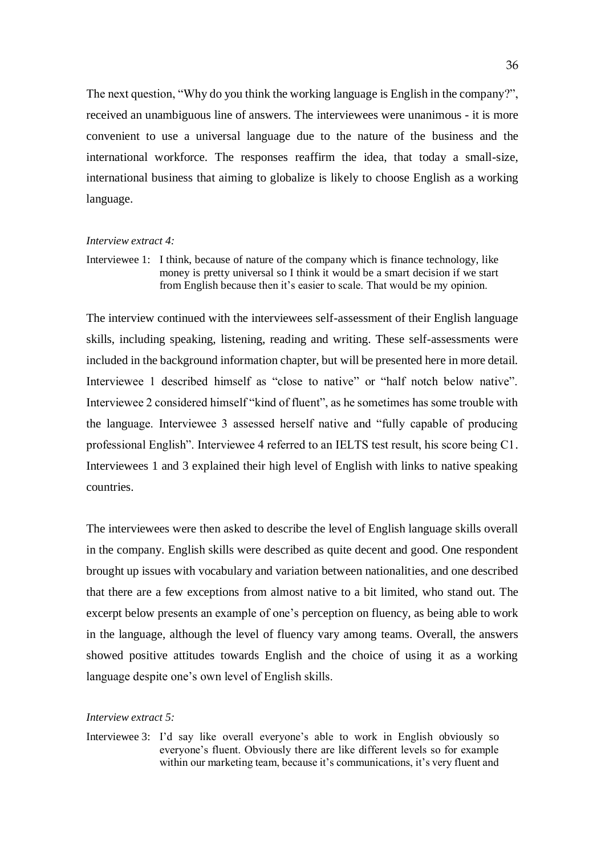The next question, "Why do you think the working language is English in the company?", received an unambiguous line of answers. The interviewees were unanimous - it is more convenient to use a universal language due to the nature of the business and the international workforce. The responses reaffirm the idea, that today a small-size, international business that aiming to globalize is likely to choose English as a working language.

#### *Interview extract 4:*

Interviewee 1: I think, because of nature of the company which is finance technology, like money is pretty universal so I think it would be a smart decision if we start from English because then it's easier to scale. That would be my opinion.

The interview continued with the interviewees self-assessment of their English language skills, including speaking, listening, reading and writing. These self-assessments were included in the background information chapter, but will be presented here in more detail. Interviewee 1 described himself as "close to native" or "half notch below native". Interviewee 2 considered himself "kind of fluent", as he sometimes has some trouble with the language. Interviewee 3 assessed herself native and "fully capable of producing professional English". Interviewee 4 referred to an IELTS test result, his score being C1. Interviewees 1 and 3 explained their high level of English with links to native speaking countries.

The interviewees were then asked to describe the level of English language skills overall in the company. English skills were described as quite decent and good. One respondent brought up issues with vocabulary and variation between nationalities, and one described that there are a few exceptions from almost native to a bit limited, who stand out. The excerpt below presents an example of one's perception on fluency, as being able to work in the language, although the level of fluency vary among teams. Overall, the answers showed positive attitudes towards English and the choice of using it as a working language despite one's own level of English skills.

#### *Interview extract 5:*

Interviewee 3: I'd say like overall everyone's able to work in English obviously so everyone's fluent. Obviously there are like different levels so for example within our marketing team, because it's communications, it's very fluent and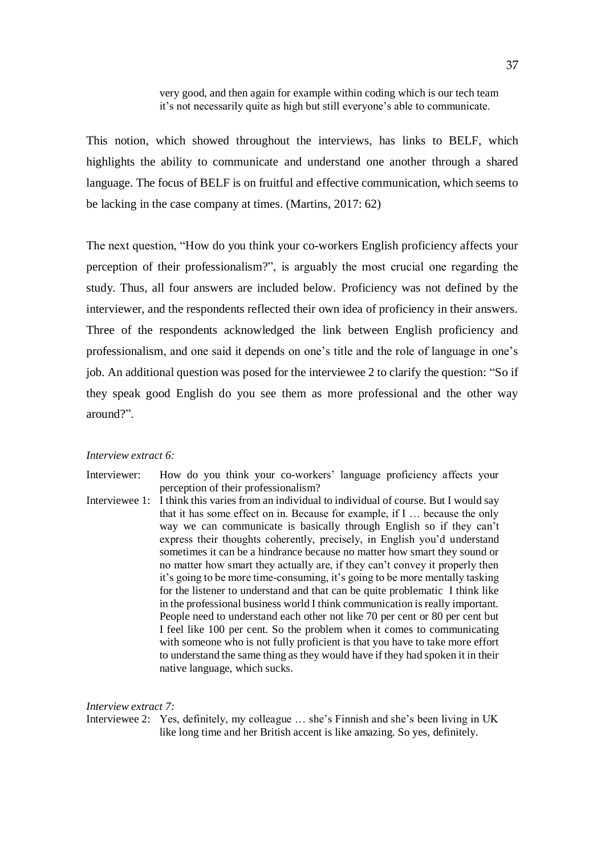This notion, which showed throughout the interviews, has links to BELF, which highlights the ability to communicate and understand one another through a shared language. The focus of BELF is on fruitful and effective communication, which seems to be lacking in the case company at times. (Martins, 2017: 62)

The next question, "How do you think your co-workers English proficiency affects your perception of their professionalism?", is arguably the most crucial one regarding the study. Thus, all four answers are included below. Proficiency was not defined by the interviewer, and the respondents reflected their own idea of proficiency in their answers. Three of the respondents acknowledged the link between English proficiency and professionalism, and one said it depends on one's title and the role of language in one's job. An additional question was posed for the interviewee 2 to clarify the question: "So if they speak good English do you see them as more professional and the other way around?".

#### *Interview extract 6:*

Interviewer: How do you think your co-workers' language proficiency affects your perception of their professionalism?

Interviewee 1: I think this varies from an individual to individual of course. But I would say that it has some effect on in. Because for example, if I … because the only way we can communicate is basically through English so if they can't express their thoughts coherently, precisely, in English you'd understand sometimes it can be a hindrance because no matter how smart they sound or no matter how smart they actually are, if they can't convey it properly then it's going to be more time-consuming, it's going to be more mentally tasking for the listener to understand and that can be quite problematic I think like in the professional business world I think communication is really important. People need to understand each other not like 70 per cent or 80 per cent but I feel like 100 per cent. So the problem when it comes to communicating with someone who is not fully proficient is that you have to take more effort to understand the same thing as they would have if they had spoken it in their native language, which sucks.

#### *Interview extract 7:*

Interviewee 2: Yes, definitely, my colleague … she's Finnish and she's been living in UK like long time and her British accent is like amazing. So yes, definitely.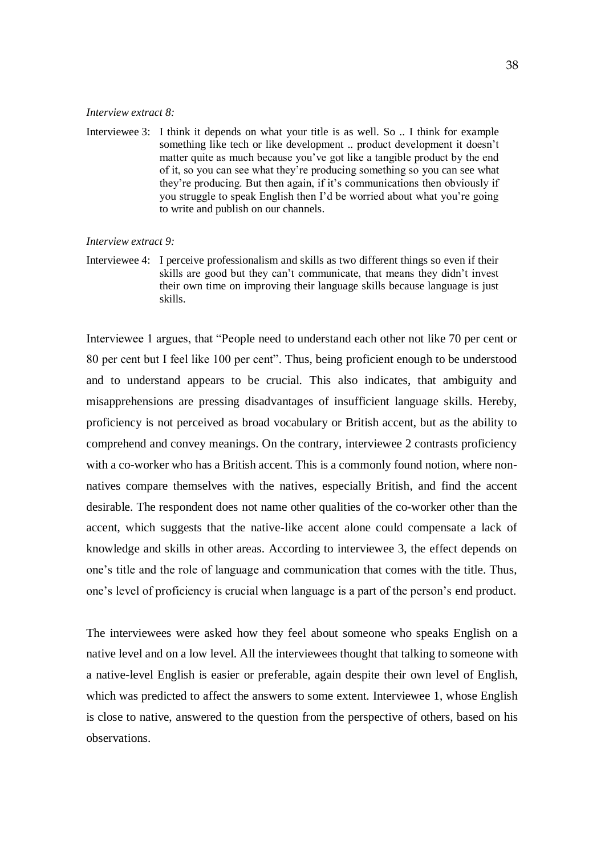#### *Interview extract 8:*

Interviewee 3: I think it depends on what your title is as well. So .. I think for example something like tech or like development .. product development it doesn't matter quite as much because you've got like a tangible product by the end of it, so you can see what they're producing something so you can see what they're producing. But then again, if it's communications then obviously if you struggle to speak English then I'd be worried about what you're going to write and publish on our channels.

#### *Interview extract 9:*

Interviewee 4: I perceive professionalism and skills as two different things so even if their skills are good but they can't communicate, that means they didn't invest their own time on improving their language skills because language is just skills.

Interviewee 1 argues, that "People need to understand each other not like 70 per cent or 80 per cent but I feel like 100 per cent". Thus, being proficient enough to be understood and to understand appears to be crucial. This also indicates, that ambiguity and misapprehensions are pressing disadvantages of insufficient language skills. Hereby, proficiency is not perceived as broad vocabulary or British accent, but as the ability to comprehend and convey meanings. On the contrary, interviewee 2 contrasts proficiency with a co-worker who has a British accent. This is a commonly found notion, where nonnatives compare themselves with the natives, especially British, and find the accent desirable. The respondent does not name other qualities of the co-worker other than the accent, which suggests that the native-like accent alone could compensate a lack of knowledge and skills in other areas. According to interviewee 3, the effect depends on one's title and the role of language and communication that comes with the title. Thus, one's level of proficiency is crucial when language is a part of the person's end product.

The interviewees were asked how they feel about someone who speaks English on a native level and on a low level. All the interviewees thought that talking to someone with a native-level English is easier or preferable, again despite their own level of English, which was predicted to affect the answers to some extent. Interviewee 1, whose English is close to native, answered to the question from the perspective of others, based on his observations.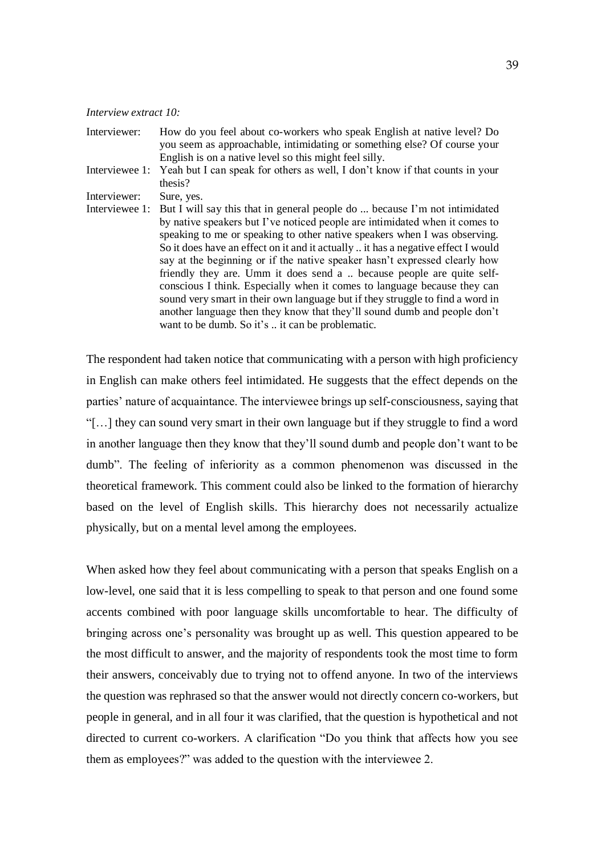#### *Interview extract 10:*

- Interviewer: How do you feel about co-workers who speak English at native level? Do you seem as approachable, intimidating or something else? Of course your English is on a native level so this might feel silly.
- Interviewee 1: Yeah but I can speak for others as well, I don't know if that counts in your thesis?<br>Sure, yes.

Interviewer:

Interviewee 1: But I will say this that in general people do ... because I'm not intimidated by native speakers but I've noticed people are intimidated when it comes to speaking to me or speaking to other native speakers when I was observing. So it does have an effect on it and it actually .. it has a negative effect I would say at the beginning or if the native speaker hasn't expressed clearly how friendly they are. Umm it does send a .. because people are quite selfconscious I think. Especially when it comes to language because they can sound very smart in their own language but if they struggle to find a word in another language then they know that they'll sound dumb and people don't want to be dumb. So it's .. it can be problematic.

The respondent had taken notice that communicating with a person with high proficiency in English can make others feel intimidated. He suggests that the effect depends on the parties' nature of acquaintance. The interviewee brings up self-consciousness, saying that "[…] they can sound very smart in their own language but if they struggle to find a word in another language then they know that they'll sound dumb and people don't want to be dumb". The feeling of inferiority as a common phenomenon was discussed in the theoretical framework. This comment could also be linked to the formation of hierarchy based on the level of English skills. This hierarchy does not necessarily actualize physically, but on a mental level among the employees.

When asked how they feel about communicating with a person that speaks English on a low-level, one said that it is less compelling to speak to that person and one found some accents combined with poor language skills uncomfortable to hear. The difficulty of bringing across one's personality was brought up as well. This question appeared to be the most difficult to answer, and the majority of respondents took the most time to form their answers, conceivably due to trying not to offend anyone. In two of the interviews the question was rephrased so that the answer would not directly concern co-workers, but people in general, and in all four it was clarified, that the question is hypothetical and not directed to current co-workers. A clarification "Do you think that affects how you see them as employees?" was added to the question with the interviewee 2.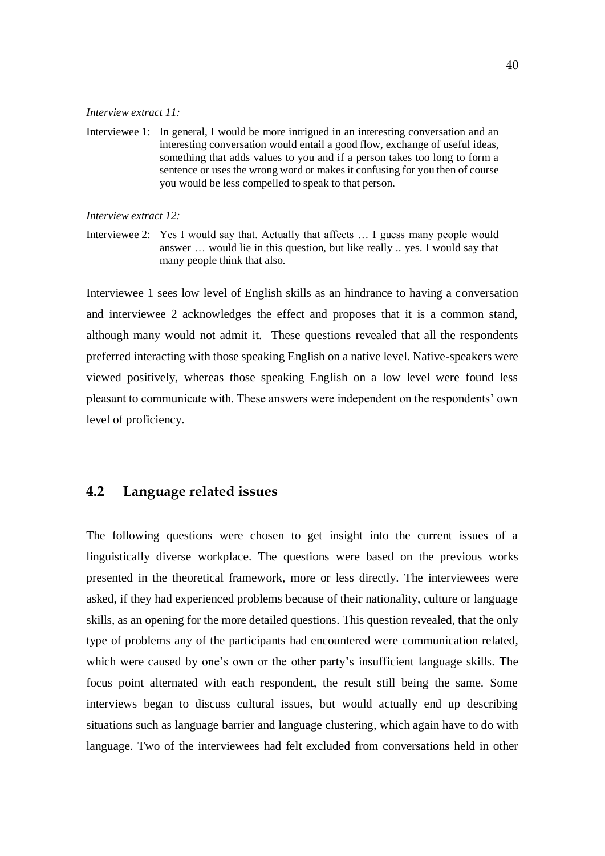#### *Interview extract 11:*

Interviewee 1: In general, I would be more intrigued in an interesting conversation and an interesting conversation would entail a good flow, exchange of useful ideas, something that adds values to you and if a person takes too long to form a sentence or uses the wrong word or makes it confusing for you then of course you would be less compelled to speak to that person.

*Interview extract 12:* 

Interviewee 2: Yes I would say that. Actually that affects … I guess many people would answer … would lie in this question, but like really .. yes. I would say that many people think that also.

Interviewee 1 sees low level of English skills as an hindrance to having a conversation and interviewee 2 acknowledges the effect and proposes that it is a common stand, although many would not admit it. These questions revealed that all the respondents preferred interacting with those speaking English on a native level. Native-speakers were viewed positively, whereas those speaking English on a low level were found less pleasant to communicate with. These answers were independent on the respondents' own level of proficiency.

# <span id="page-39-0"></span>**4.2 Language related issues**

The following questions were chosen to get insight into the current issues of a linguistically diverse workplace. The questions were based on the previous works presented in the theoretical framework, more or less directly. The interviewees were asked, if they had experienced problems because of their nationality, culture or language skills, as an opening for the more detailed questions. This question revealed, that the only type of problems any of the participants had encountered were communication related, which were caused by one's own or the other party's insufficient language skills. The focus point alternated with each respondent, the result still being the same. Some interviews began to discuss cultural issues, but would actually end up describing situations such as language barrier and language clustering, which again have to do with language. Two of the interviewees had felt excluded from conversations held in other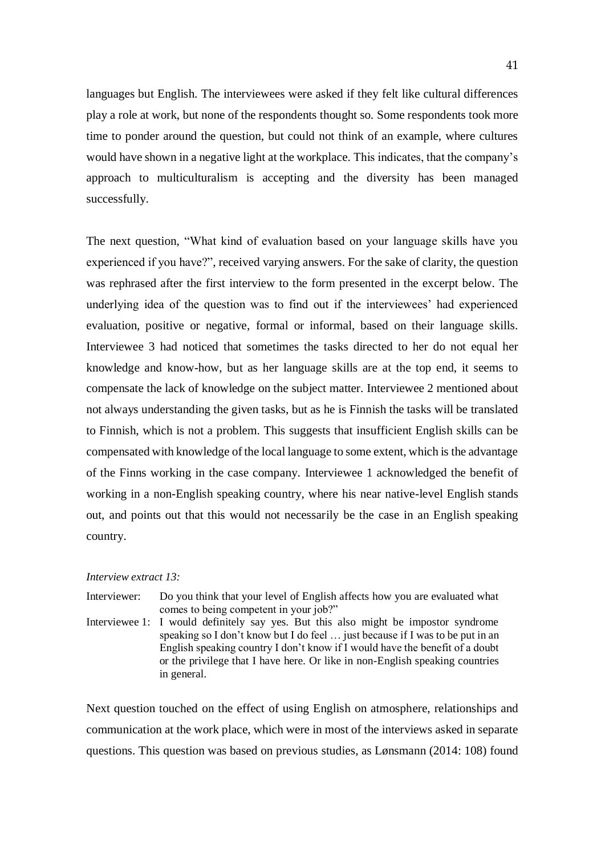languages but English. The interviewees were asked if they felt like cultural differences play a role at work, but none of the respondents thought so. Some respondents took more time to ponder around the question, but could not think of an example, where cultures would have shown in a negative light at the workplace. This indicates, that the company's approach to multiculturalism is accepting and the diversity has been managed successfully.

The next question, "What kind of evaluation based on your language skills have you experienced if you have?", received varying answers. For the sake of clarity, the question was rephrased after the first interview to the form presented in the excerpt below. The underlying idea of the question was to find out if the interviewees' had experienced evaluation, positive or negative, formal or informal, based on their language skills. Interviewee 3 had noticed that sometimes the tasks directed to her do not equal her knowledge and know-how, but as her language skills are at the top end, it seems to compensate the lack of knowledge on the subject matter. Interviewee 2 mentioned about not always understanding the given tasks, but as he is Finnish the tasks will be translated to Finnish, which is not a problem. This suggests that insufficient English skills can be compensated with knowledge of the local language to some extent, which is the advantage of the Finns working in the case company. Interviewee 1 acknowledged the benefit of working in a non-English speaking country, where his near native-level English stands out, and points out that this would not necessarily be the case in an English speaking country.

#### *Interview extract 13:*

in general.

Interviewer: Do you think that your level of English affects how you are evaluated what comes to being competent in your job?" Interviewee 1: I would definitely say yes. But this also might be impostor syndrome speaking so I don't know but I do feel … just because if I was to be put in an English speaking country I don't know if I would have the benefit of a doubt or the privilege that I have here. Or like in non-English speaking countries

Next question touched on the effect of using English on atmosphere, relationships and communication at the work place, which were in most of the interviews asked in separate questions. This question was based on previous studies, as Lønsmann (2014: 108) found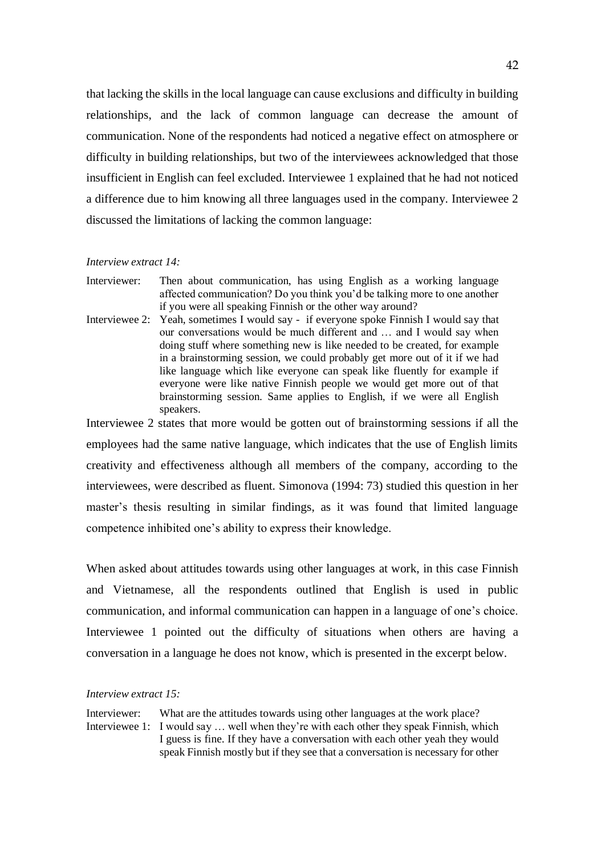that lacking the skills in the local language can cause exclusions and difficulty in building relationships, and the lack of common language can decrease the amount of communication. None of the respondents had noticed a negative effect on atmosphere or difficulty in building relationships, but two of the interviewees acknowledged that those insufficient in English can feel excluded. Interviewee 1 explained that he had not noticed a difference due to him knowing all three languages used in the company. Interviewee 2 discussed the limitations of lacking the common language:

#### *Interview extract 14:*

- Interviewer: Then about communication, has using English as a working language affected communication? Do you think you'd be talking more to one another if you were all speaking Finnish or the other way around?
- Interviewee 2: Yeah, sometimes I would say if everyone spoke Finnish I would say that our conversations would be much different and … and I would say when doing stuff where something new is like needed to be created, for example in a brainstorming session, we could probably get more out of it if we had like language which like everyone can speak like fluently for example if everyone were like native Finnish people we would get more out of that brainstorming session. Same applies to English, if we were all English speakers.

Interviewee 2 states that more would be gotten out of brainstorming sessions if all the employees had the same native language, which indicates that the use of English limits creativity and effectiveness although all members of the company, according to the interviewees, were described as fluent. Simonova (1994: 73) studied this question in her master's thesis resulting in similar findings, as it was found that limited language competence inhibited one's ability to express their knowledge.

When asked about attitudes towards using other languages at work, in this case Finnish and Vietnamese, all the respondents outlined that English is used in public communication, and informal communication can happen in a language of one's choice. Interviewee 1 pointed out the difficulty of situations when others are having a conversation in a language he does not know, which is presented in the excerpt below.

#### *Interview extract 15:*

Interviewer: What are the attitudes towards using other languages at the work place? Interviewee 1: I would say … well when they're with each other they speak Finnish, which I guess is fine. If they have a conversation with each other yeah they would speak Finnish mostly but if they see that a conversation is necessary for other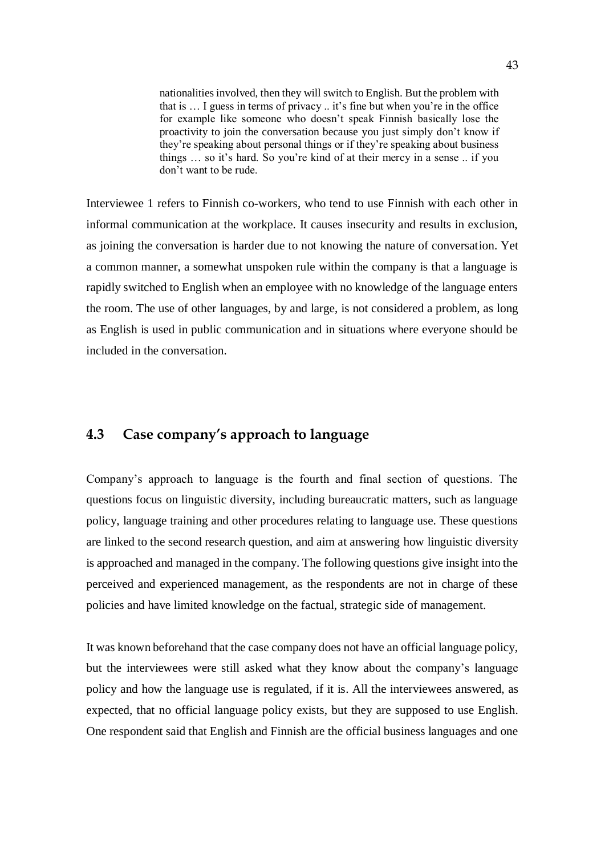nationalities involved, then they will switch to English. But the problem with that is … I guess in terms of privacy .. it's fine but when you're in the office for example like someone who doesn't speak Finnish basically lose the proactivity to join the conversation because you just simply don't know if they're speaking about personal things or if they're speaking about business things … so it's hard. So you're kind of at their mercy in a sense .. if you don't want to be rude.

Interviewee 1 refers to Finnish co-workers, who tend to use Finnish with each other in informal communication at the workplace. It causes insecurity and results in exclusion, as joining the conversation is harder due to not knowing the nature of conversation. Yet a common manner, a somewhat unspoken rule within the company is that a language is rapidly switched to English when an employee with no knowledge of the language enters the room. The use of other languages, by and large, is not considered a problem, as long as English is used in public communication and in situations where everyone should be included in the conversation.

# <span id="page-42-0"></span>**4.3 Case company's approach to language**

Company's approach to language is the fourth and final section of questions. The questions focus on linguistic diversity, including bureaucratic matters, such as language policy, language training and other procedures relating to language use. These questions are linked to the second research question, and aim at answering how linguistic diversity is approached and managed in the company. The following questions give insight into the perceived and experienced management, as the respondents are not in charge of these policies and have limited knowledge on the factual, strategic side of management.

It was known beforehand that the case company does not have an official language policy, but the interviewees were still asked what they know about the company's language policy and how the language use is regulated, if it is. All the interviewees answered, as expected, that no official language policy exists, but they are supposed to use English. One respondent said that English and Finnish are the official business languages and one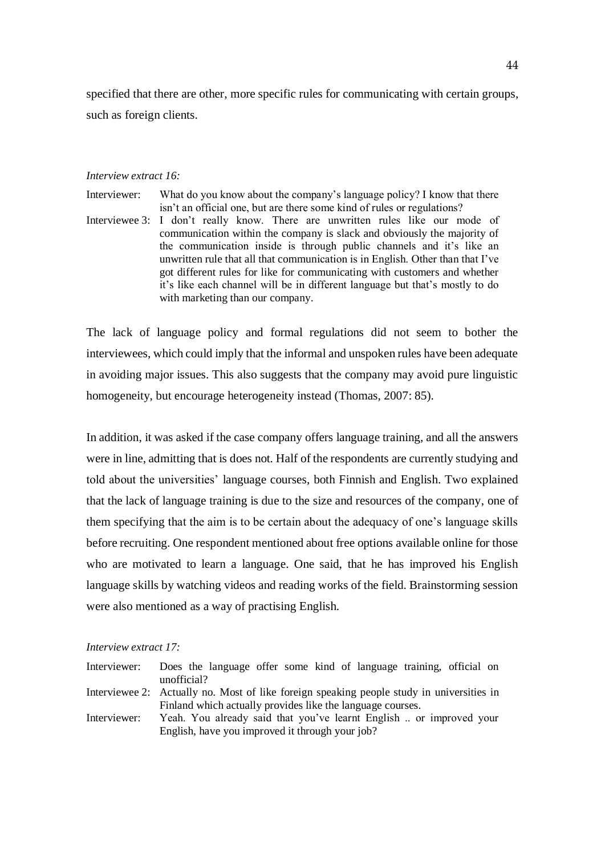specified that there are other, more specific rules for communicating with certain groups, such as foreign clients.

#### *Interview extract 16:*

Interviewer: What do you know about the company's language policy? I know that there isn't an official one, but are there some kind of rules or regulations? Interviewee 3: I don't really know. There are unwritten rules like our mode of communication within the company is slack and obviously the majority of the communication inside is through public channels and it's like an unwritten rule that all that communication is in English. Other than that I've got different rules for like for communicating with customers and whether it's like each channel will be in different language but that's mostly to do with marketing than our company.

The lack of language policy and formal regulations did not seem to bother the interviewees, which could imply that the informal and unspoken rules have been adequate in avoiding major issues. This also suggests that the company may avoid pure linguistic homogeneity, but encourage heterogeneity instead (Thomas, 2007: 85).

In addition, it was asked if the case company offers language training, and all the answers were in line, admitting that is does not. Half of the respondents are currently studying and told about the universities' language courses, both Finnish and English. Two explained that the lack of language training is due to the size and resources of the company, one of them specifying that the aim is to be certain about the adequacy of one's language skills before recruiting. One respondent mentioned about free options available online for those who are motivated to learn a language. One said, that he has improved his English language skills by watching videos and reading works of the field. Brainstorming session were also mentioned as a way of practising English.

#### *Interview extract 17:*

| Interviewer: | Does the language offer some kind of language training, official on                       |
|--------------|-------------------------------------------------------------------------------------------|
|              | unofficial?                                                                               |
|              | Interviewee 2: Actually no. Most of like foreign speaking people study in universities in |
|              | Finland which actually provides like the language courses.                                |
| Interviewer: | Yeah. You already said that you've learnt English  or improved your                       |
|              | English, have you improved it through your job?                                           |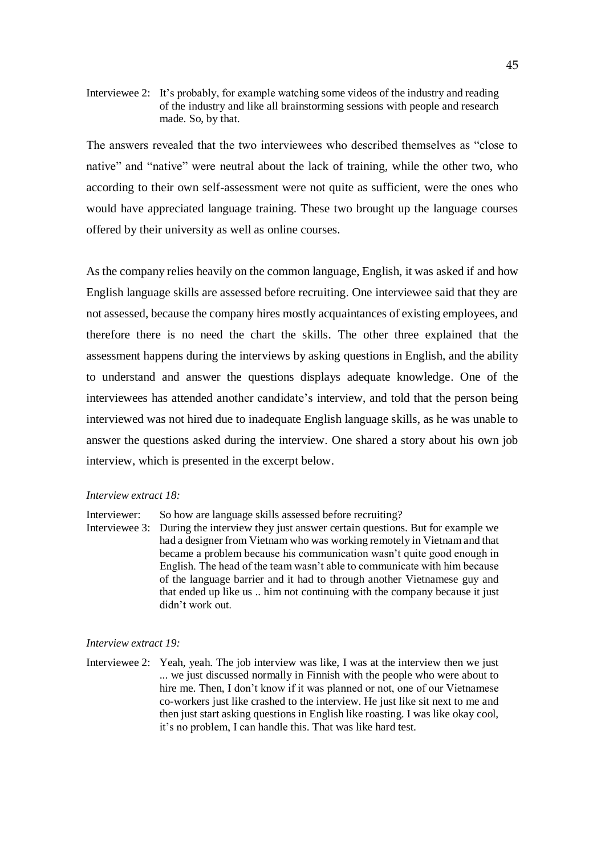Interviewee 2: It's probably, for example watching some videos of the industry and reading of the industry and like all brainstorming sessions with people and research made. So, by that.

The answers revealed that the two interviewees who described themselves as "close to native" and "native" were neutral about the lack of training, while the other two, who according to their own self-assessment were not quite as sufficient, were the ones who would have appreciated language training. These two brought up the language courses offered by their university as well as online courses.

As the company relies heavily on the common language, English, it was asked if and how English language skills are assessed before recruiting. One interviewee said that they are not assessed, because the company hires mostly acquaintances of existing employees, and therefore there is no need the chart the skills. The other three explained that the assessment happens during the interviews by asking questions in English, and the ability to understand and answer the questions displays adequate knowledge. One of the interviewees has attended another candidate's interview, and told that the person being interviewed was not hired due to inadequate English language skills, as he was unable to answer the questions asked during the interview. One shared a story about his own job interview, which is presented in the excerpt below.

#### *Interview extract 18:*

Interviewer: So how are language skills assessed before recruiting?

Interviewee 3: During the interview they just answer certain questions. But for example we had a designer from Vietnam who was working remotely in Vietnam and that became a problem because his communication wasn't quite good enough in English. The head of the team wasn't able to communicate with him because of the language barrier and it had to through another Vietnamese guy and that ended up like us .. him not continuing with the company because it just didn't work out.

#### *Interview extract 19:*

Interviewee 2: Yeah, yeah. The job interview was like, I was at the interview then we just ... we just discussed normally in Finnish with the people who were about to hire me. Then, I don't know if it was planned or not, one of our Vietnamese co-workers just like crashed to the interview. He just like sit next to me and then just start asking questions in English like roasting. I was like okay cool, it's no problem, I can handle this. That was like hard test.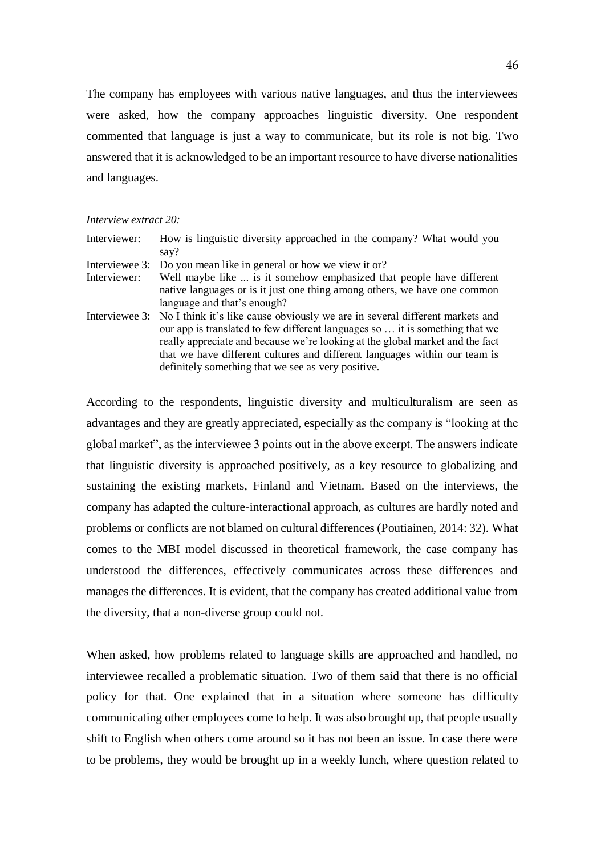The company has employees with various native languages, and thus the interviewees were asked, how the company approaches linguistic diversity. One respondent commented that language is just a way to communicate, but its role is not big. Two answered that it is acknowledged to be an important resource to have diverse nationalities and languages.

|  | Interview extract 20: |  |  |
|--|-----------------------|--|--|
|--|-----------------------|--|--|

| Interviewer:   | How is linguistic diversity approached in the company? What would you<br>say?                                                                                                                                                                                                                                                                                                                    |
|----------------|--------------------------------------------------------------------------------------------------------------------------------------------------------------------------------------------------------------------------------------------------------------------------------------------------------------------------------------------------------------------------------------------------|
| Interviewee 3: | Do you mean like in general or how we view it or?                                                                                                                                                                                                                                                                                                                                                |
| Interviewer:   | Well maybe like  is it somehow emphasized that people have different                                                                                                                                                                                                                                                                                                                             |
|                | native languages or is it just one thing among others, we have one common                                                                                                                                                                                                                                                                                                                        |
|                | language and that's enough?                                                                                                                                                                                                                                                                                                                                                                      |
|                | Interviewee 3: No I think it's like cause obviously we are in several different markets and<br>our app is translated to few different languages so  it is something that we<br>really appreciate and because we're looking at the global market and the fact<br>that we have different cultures and different languages within our team is<br>definitely something that we see as very positive. |

According to the respondents, linguistic diversity and multiculturalism are seen as advantages and they are greatly appreciated, especially as the company is "looking at the global market", as the interviewee 3 points out in the above excerpt. The answers indicate that linguistic diversity is approached positively, as a key resource to globalizing and sustaining the existing markets, Finland and Vietnam. Based on the interviews, the company has adapted the culture-interactional approach, as cultures are hardly noted and problems or conflicts are not blamed on cultural differences (Poutiainen, 2014: 32). What comes to the MBI model discussed in theoretical framework, the case company has understood the differences, effectively communicates across these differences and manages the differences. It is evident, that the company has created additional value from the diversity, that a non-diverse group could not.

When asked, how problems related to language skills are approached and handled, no interviewee recalled a problematic situation. Two of them said that there is no official policy for that. One explained that in a situation where someone has difficulty communicating other employees come to help. It was also brought up, that people usually shift to English when others come around so it has not been an issue. In case there were to be problems, they would be brought up in a weekly lunch, where question related to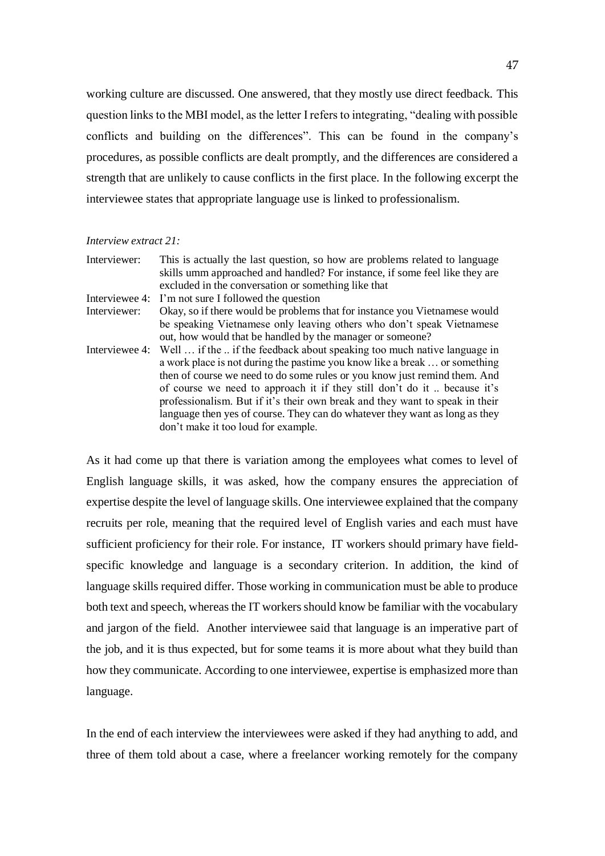working culture are discussed. One answered, that they mostly use direct feedback. This question links to the MBI model, as the letter I refers to integrating, "dealing with possible conflicts and building on the differences". This can be found in the company's procedures, as possible conflicts are dealt promptly, and the differences are considered a strength that are unlikely to cause conflicts in the first place. In the following excerpt the interviewee states that appropriate language use is linked to professionalism.

#### *Interview extract 21:*

| Interviewer:   | This is actually the last question, so how are problems related to language<br>skills umm approached and handled? For instance, if some feel like they are<br>excluded in the conversation or something like that                                                                                                                                                                                                                                                                                                                    |
|----------------|--------------------------------------------------------------------------------------------------------------------------------------------------------------------------------------------------------------------------------------------------------------------------------------------------------------------------------------------------------------------------------------------------------------------------------------------------------------------------------------------------------------------------------------|
| Interviewee 4: | I'm not sure I followed the question                                                                                                                                                                                                                                                                                                                                                                                                                                                                                                 |
| Interviewer:   | Okay, so if there would be problems that for instance you Vietnamese would                                                                                                                                                                                                                                                                                                                                                                                                                                                           |
|                | be speaking Vietnamese only leaving others who don't speak Vietnamese<br>out, how would that be handled by the manager or someone?                                                                                                                                                                                                                                                                                                                                                                                                   |
|                | Interviewee 4: Well  if the  if the feedback about speaking too much native language in<br>a work place is not during the pastime you know like a break  or something<br>then of course we need to do some rules or you know just remind them. And<br>of course we need to approach it if they still don't do it  because it's<br>professionalism. But if it's their own break and they want to speak in their<br>language then yes of course. They can do whatever they want as long as they<br>don't make it too loud for example. |

As it had come up that there is variation among the employees what comes to level of English language skills, it was asked, how the company ensures the appreciation of expertise despite the level of language skills. One interviewee explained that the company recruits per role, meaning that the required level of English varies and each must have sufficient proficiency for their role. For instance, IT workers should primary have fieldspecific knowledge and language is a secondary criterion. In addition, the kind of language skills required differ. Those working in communication must be able to produce both text and speech, whereas the IT workers should know be familiar with the vocabulary and jargon of the field. Another interviewee said that language is an imperative part of the job, and it is thus expected, but for some teams it is more about what they build than how they communicate. According to one interviewee, expertise is emphasized more than language.

In the end of each interview the interviewees were asked if they had anything to add, and three of them told about a case, where a freelancer working remotely for the company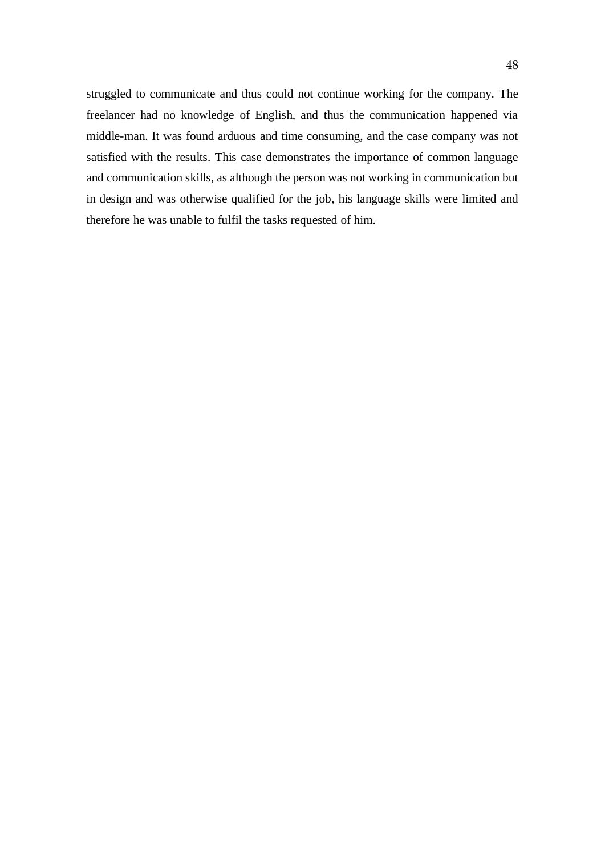struggled to communicate and thus could not continue working for the company. The freelancer had no knowledge of English, and thus the communication happened via middle-man. It was found arduous and time consuming, and the case company was not satisfied with the results. This case demonstrates the importance of common language and communication skills, as although the person was not working in communication but in design and was otherwise qualified for the job, his language skills were limited and therefore he was unable to fulfil the tasks requested of him.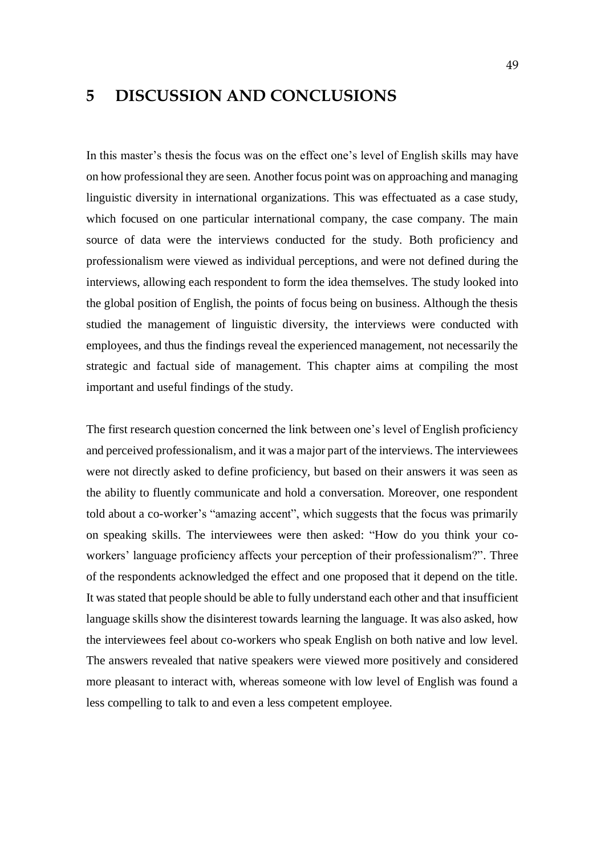# <span id="page-48-0"></span>**5 DISCUSSION AND CONCLUSIONS**

In this master's thesis the focus was on the effect one's level of English skills may have on how professional they are seen. Another focus point was on approaching and managing linguistic diversity in international organizations. This was effectuated as a case study, which focused on one particular international company, the case company. The main source of data were the interviews conducted for the study. Both proficiency and professionalism were viewed as individual perceptions, and were not defined during the interviews, allowing each respondent to form the idea themselves. The study looked into the global position of English, the points of focus being on business. Although the thesis studied the management of linguistic diversity, the interviews were conducted with employees, and thus the findings reveal the experienced management, not necessarily the strategic and factual side of management. This chapter aims at compiling the most important and useful findings of the study.

The first research question concerned the link between one's level of English proficiency and perceived professionalism, and it was a major part of the interviews. The interviewees were not directly asked to define proficiency, but based on their answers it was seen as the ability to fluently communicate and hold a conversation. Moreover, one respondent told about a co-worker's "amazing accent", which suggests that the focus was primarily on speaking skills. The interviewees were then asked: "How do you think your coworkers' language proficiency affects your perception of their professionalism?". Three of the respondents acknowledged the effect and one proposed that it depend on the title. It was stated that people should be able to fully understand each other and that insufficient language skills show the disinterest towards learning the language. It was also asked, how the interviewees feel about co-workers who speak English on both native and low level. The answers revealed that native speakers were viewed more positively and considered more pleasant to interact with, whereas someone with low level of English was found a less compelling to talk to and even a less competent employee.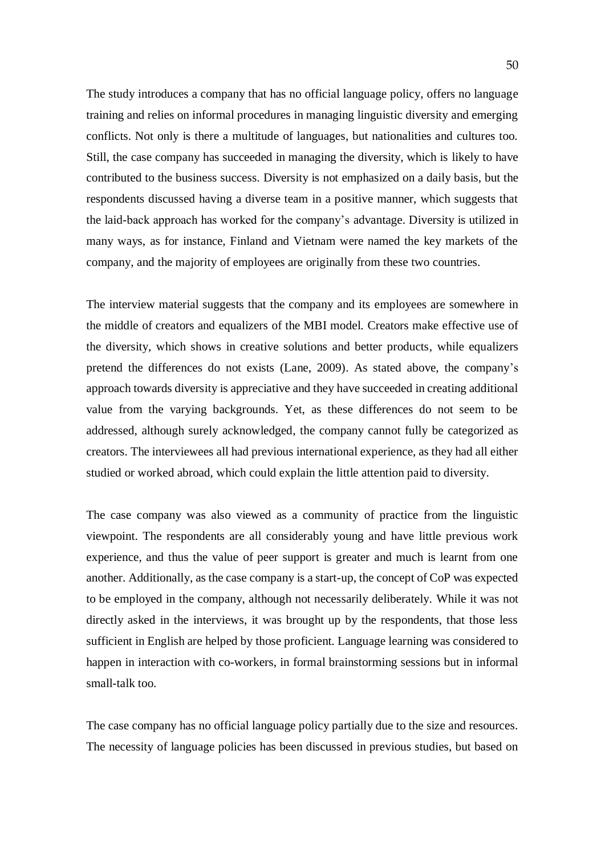The study introduces a company that has no official language policy, offers no language training and relies on informal procedures in managing linguistic diversity and emerging conflicts. Not only is there a multitude of languages, but nationalities and cultures too. Still, the case company has succeeded in managing the diversity, which is likely to have contributed to the business success. Diversity is not emphasized on a daily basis, but the respondents discussed having a diverse team in a positive manner, which suggests that the laid-back approach has worked for the company's advantage. Diversity is utilized in many ways, as for instance, Finland and Vietnam were named the key markets of the company, and the majority of employees are originally from these two countries.

The interview material suggests that the company and its employees are somewhere in the middle of creators and equalizers of the MBI model. Creators make effective use of the diversity, which shows in creative solutions and better products, while equalizers pretend the differences do not exists (Lane, 2009). As stated above, the company's approach towards diversity is appreciative and they have succeeded in creating additional value from the varying backgrounds. Yet, as these differences do not seem to be addressed, although surely acknowledged, the company cannot fully be categorized as creators. The interviewees all had previous international experience, as they had all either studied or worked abroad, which could explain the little attention paid to diversity.

The case company was also viewed as a community of practice from the linguistic viewpoint. The respondents are all considerably young and have little previous work experience, and thus the value of peer support is greater and much is learnt from one another. Additionally, as the case company is a start-up, the concept of CoP was expected to be employed in the company, although not necessarily deliberately. While it was not directly asked in the interviews, it was brought up by the respondents, that those less sufficient in English are helped by those proficient. Language learning was considered to happen in interaction with co-workers, in formal brainstorming sessions but in informal small-talk too.

The case company has no official language policy partially due to the size and resources. The necessity of language policies has been discussed in previous studies, but based on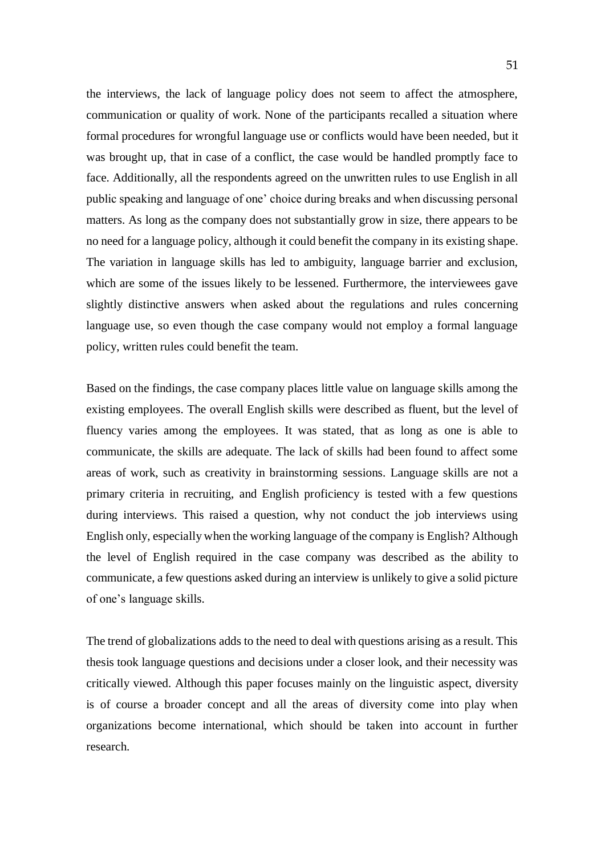the interviews, the lack of language policy does not seem to affect the atmosphere, communication or quality of work. None of the participants recalled a situation where formal procedures for wrongful language use or conflicts would have been needed, but it was brought up, that in case of a conflict, the case would be handled promptly face to face. Additionally, all the respondents agreed on the unwritten rules to use English in all public speaking and language of one' choice during breaks and when discussing personal matters. As long as the company does not substantially grow in size, there appears to be no need for a language policy, although it could benefit the company in its existing shape. The variation in language skills has led to ambiguity, language barrier and exclusion, which are some of the issues likely to be lessened. Furthermore, the interviewees gave slightly distinctive answers when asked about the regulations and rules concerning language use, so even though the case company would not employ a formal language policy, written rules could benefit the team.

Based on the findings, the case company places little value on language skills among the existing employees. The overall English skills were described as fluent, but the level of fluency varies among the employees. It was stated, that as long as one is able to communicate, the skills are adequate. The lack of skills had been found to affect some areas of work, such as creativity in brainstorming sessions. Language skills are not a primary criteria in recruiting, and English proficiency is tested with a few questions during interviews. This raised a question, why not conduct the job interviews using English only, especially when the working language of the company is English? Although the level of English required in the case company was described as the ability to communicate, a few questions asked during an interview is unlikely to give a solid picture of one's language skills.

The trend of globalizations adds to the need to deal with questions arising as a result. This thesis took language questions and decisions under a closer look, and their necessity was critically viewed. Although this paper focuses mainly on the linguistic aspect, diversity is of course a broader concept and all the areas of diversity come into play when organizations become international, which should be taken into account in further research.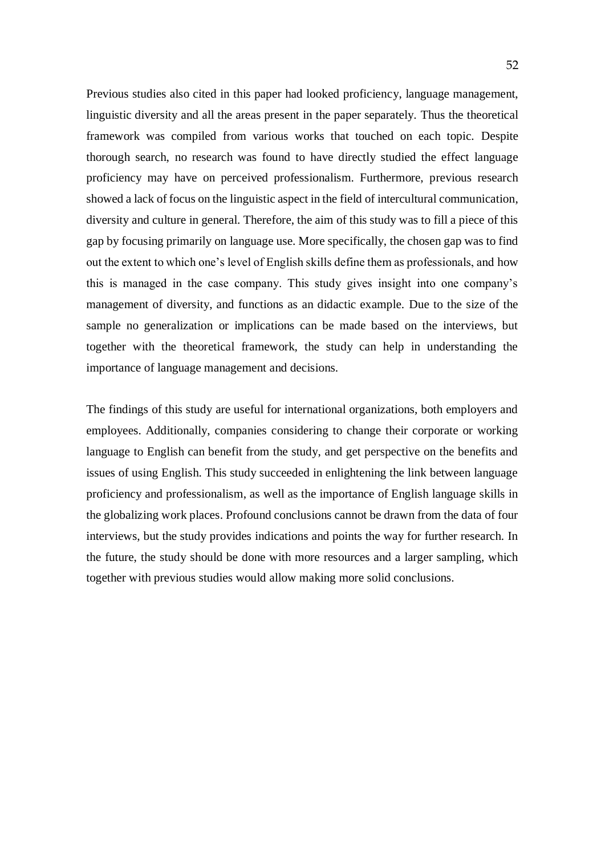Previous studies also cited in this paper had looked proficiency, language management, linguistic diversity and all the areas present in the paper separately. Thus the theoretical framework was compiled from various works that touched on each topic. Despite thorough search, no research was found to have directly studied the effect language proficiency may have on perceived professionalism. Furthermore, previous research showed a lack of focus on the linguistic aspect in the field of intercultural communication, diversity and culture in general. Therefore, the aim of this study was to fill a piece of this gap by focusing primarily on language use. More specifically, the chosen gap was to find out the extent to which one's level of English skills define them as professionals, and how this is managed in the case company. This study gives insight into one company's management of diversity, and functions as an didactic example. Due to the size of the sample no generalization or implications can be made based on the interviews, but together with the theoretical framework, the study can help in understanding the importance of language management and decisions.

The findings of this study are useful for international organizations, both employers and employees. Additionally, companies considering to change their corporate or working language to English can benefit from the study, and get perspective on the benefits and issues of using English. This study succeeded in enlightening the link between language proficiency and professionalism, as well as the importance of English language skills in the globalizing work places. Profound conclusions cannot be drawn from the data of four interviews, but the study provides indications and points the way for further research. In the future, the study should be done with more resources and a larger sampling, which together with previous studies would allow making more solid conclusions.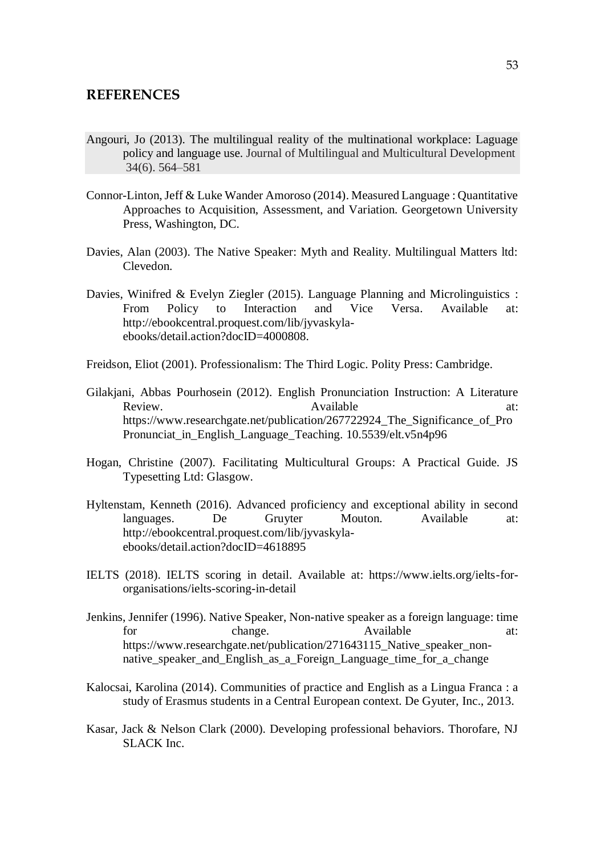### <span id="page-52-0"></span>**REFERENCES**

- Angouri, Jo (2013). The multilingual reality of the multinational workplace: Laguage policy and language use. Journal of Multilingual and Multicultural Development 34(6). 564–581
- Connor-Linton, Jeff & Luke Wander Amoroso (2014). Measured Language : Quantitative Approaches to Acquisition, Assessment, and Variation. Georgetown University Press, Washington, DC.
- Davies, Alan (2003). The Native Speaker: Myth and Reality. Multilingual Matters ltd: Clevedon.
- Davies, Winifred & Evelyn Ziegler (2015). Language Planning and Microlinguistics : From Policy to Interaction and Vice Versa. Available at: http://ebookcentral.proquest.com/lib/jyvaskylaebooks/detail.action?docID=4000808.
- Freidson, Eliot (2001). Professionalism: The Third Logic. Polity Press: Cambridge.
- Gilakjani, Abbas Pourhosein (2012). English Pronunciation Instruction: A Literature Review. Available at: https://www.researchgate.net/publication/267722924 The Significance of Pro Pronunciat in English Language Teaching. 10.5539/elt.v5n4p96
- Hogan, Christine (2007). Facilitating Multicultural Groups: A Practical Guide. JS Typesetting Ltd: Glasgow.
- Hyltenstam, Kenneth (2016). Advanced proficiency and exceptional ability in second languages. De Gruyter Mouton. Available at: http://ebookcentral.proquest.com/lib/jyvaskylaebooks/detail.action?docID=4618895
- IELTS (2018). IELTS scoring in detail. Available at: https://www.ielts.org/ielts-fororganisations/ielts-scoring-in-detail
- Jenkins, Jennifer (1996). Native Speaker, Non-native speaker as a foreign language: time for change. Available at: https://www.researchgate.net/publication/271643115\_Native\_speaker\_nonnative\_speaker\_and\_English\_as\_a\_Foreign\_Language\_time\_for\_a\_change
- Kalocsai, Karolina (2014). Communities of practice and English as a Lingua Franca : a study of Erasmus students in a Central European context. De Gyuter, Inc., 2013.
- Kasar, Jack & Nelson Clark (2000). Developing professional behaviors. Thorofare, NJ SLACK Inc.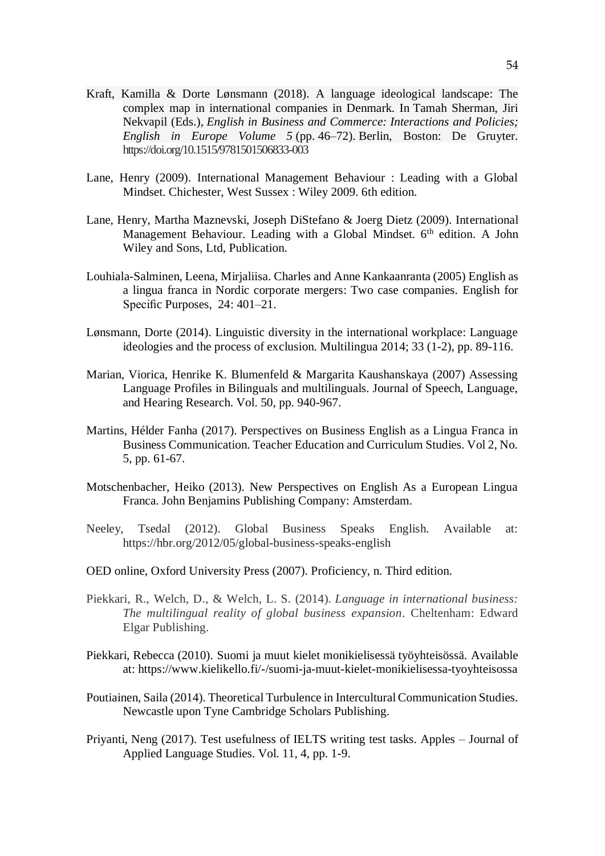- Kraft, Kamilla & Dorte Lønsmann (2018). A language ideological landscape: The complex map in international companies in Denmark. In Tamah Sherman, Jiri Nekvapil (Eds.), *English in Business and Commerce: Interactions and Policies; English in Europe Volume 5* (pp. 46–72). Berlin, Boston: De Gruyter. https://doi.org/10.1515/9781501506833-003
- Lane, Henry (2009). International Management Behaviour : Leading with a Global Mindset. Chichester, West Sussex : Wiley 2009. 6th edition.
- Lane, Henry, Martha Maznevski, Joseph DiStefano & Joerg Dietz (2009). International Management Behaviour. Leading with a Global Mindset. 6<sup>th</sup> edition. A John Wiley and Sons, Ltd, Publication.
- Louhiala-Salminen, Leena, Mirjaliisa. Charles and Anne Kankaanranta (2005) English as a lingua franca in Nordic corporate mergers: Two case companies. English for Specific Purposes, 24: 401–21.
- Lønsmann, Dorte (2014). Linguistic diversity in the international workplace: Language ideologies and the process of exclusion. Multilingua 2014; 33 (1-2), pp. 89-116.
- Marian, Viorica, Henrike K. Blumenfeld & Margarita Kaushanskaya (2007) Assessing Language Profiles in Bilinguals and multilinguals. Journal of Speech, Language, and Hearing Research. Vol. 50, pp. 940-967.
- Martins, Hélder Fanha (2017). Perspectives on Business English as a Lingua Franca in Business Communication. Teacher Education and Curriculum Studies. Vol 2, No. 5, pp. 61-67.
- Motschenbacher, Heiko (2013). New Perspectives on English As a European Lingua Franca. John Benjamins Publishing Company: Amsterdam.
- Neeley, Tsedal (2012). Global Business Speaks English. Available at: https://hbr.org/2012/05/global-business-speaks-english
- OED online, Oxford University Press (2007). Proficiency, n. Third edition.
- Piekkari, R., Welch, D., & Welch, L. S. (2014). *Language in international business: The multilingual reality of global business expansion*. Cheltenham: Edward Elgar Publishing.
- Piekkari, Rebecca (2010). Suomi ja muut kielet monikielisessä työyhteisössä. Available at: https://www.kielikello.fi/-/suomi-ja-muut-kielet-monikielisessa-tyoyhteisossa
- Poutiainen, Saila (2014). Theoretical Turbulence in Intercultural Communication Studies. Newcastle upon Tyne Cambridge Scholars Publishing.
- Priyanti, Neng (2017). Test usefulness of IELTS writing test tasks. Apples Journal of Applied Language Studies. Vol. 11, 4, pp. 1-9.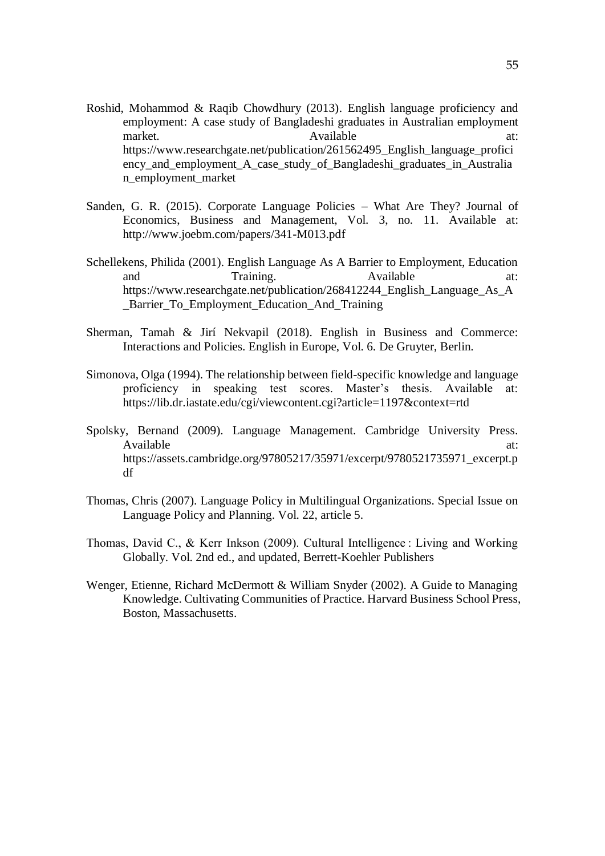- Roshid, Mohammod & Raqib Chowdhury (2013). English language proficiency and employment: A case study of Bangladeshi graduates in Australian employment market. Available at: [https://www.researchgate.net/publication/261562495\\_English\\_language\\_profici](https://www.researchgate.net/publication/261562495_English_language_proficiency_and_employment_A_case_study_of_Bangladeshi_graduates_in_Australian_employment_market) ency and employment A case study of Bangladeshi graduates in Australia [n\\_employment\\_market](https://www.researchgate.net/publication/261562495_English_language_proficiency_and_employment_A_case_study_of_Bangladeshi_graduates_in_Australian_employment_market)
- Sanden, G. R. (2015). Corporate Language Policies What Are They? Journal of Economics, Business and Management, Vol. 3, no. 11. Available at: http://www.joebm.com/papers/341-M013.pdf
- Schellekens, Philida (2001). English Language As A Barrier to Employment, Education and Training. Available at: https://www.researchgate.net/publication/268412244\_English\_Language\_As\_A \_Barrier\_To\_Employment\_Education\_And\_Training
- Sherman, Tamah & Jirí Nekvapil (2018). English in Business and Commerce: Interactions and Policies. English in Europe, Vol. 6. De Gruyter, Berlin.
- Simonova, Olga (1994). The relationship between field-specific knowledge and language proficiency in speaking test scores. Master's thesis. Available at: https://lib.dr.iastate.edu/cgi/viewcontent.cgi?article=1197&context=rtd
- Spolsky, Bernand (2009). Language Management. Cambridge University Press. Available at:  $\overline{a}$  at:  $\overline{a}$  at:  $\overline{a}$  at:  $\overline{a}$  at:  $\overline{a}$  at:  $\overline{a}$  at: https://assets.cambridge.org/97805217/35971/excerpt/9780521735971\_excerpt.p df
- Thomas, Chris (2007). Language Policy in Multilingual Organizations. Special Issue on Language Policy and Planning. Vol. 22, article 5.
- Thomas, David C., & Kerr Inkson (2009). Cultural Intelligence : Living and Working Globally. Vol. 2nd ed., and updated, Berrett-Koehler Publishers
- Wenger, Etienne, Richard McDermott & William Snyder (2002). A Guide to Managing Knowledge. Cultivating Communities of Practice. Harvard Business School Press, Boston, Massachusetts.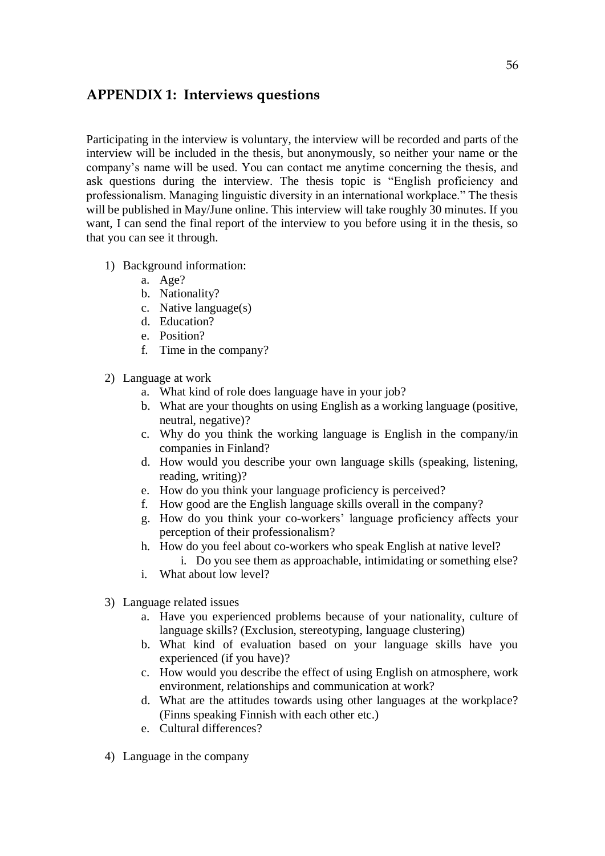# <span id="page-55-0"></span>**APPENDIX 1: Interviews questions**

Participating in the interview is voluntary, the interview will be recorded and parts of the interview will be included in the thesis, but anonymously, so neither your name or the company's name will be used. You can contact me anytime concerning the thesis, and ask questions during the interview. The thesis topic is "English proficiency and professionalism. Managing linguistic diversity in an international workplace." The thesis will be published in May/June online. This interview will take roughly 30 minutes. If you want, I can send the final report of the interview to you before using it in the thesis, so that you can see it through.

- 1) Background information:
	- a. Age?
	- b. Nationality?
	- c. Native language(s)
	- d. Education?
	- e. Position?
	- f. Time in the company?
- 2) Language at work
	- a. What kind of role does language have in your job?
	- b. What are your thoughts on using English as a working language (positive, neutral, negative)?
	- c. Why do you think the working language is English in the company/in companies in Finland?
	- d. How would you describe your own language skills (speaking, listening, reading, writing)?
	- e. How do you think your language proficiency is perceived?
	- f. How good are the English language skills overall in the company?
	- g. How do you think your co-workers' language proficiency affects your perception of their professionalism?
	- h. How do you feel about co-workers who speak English at native level? i. Do you see them as approachable, intimidating or something else?
	- i. What about low level?
- 3) Language related issues
	- a. Have you experienced problems because of your nationality, culture of language skills? (Exclusion, stereotyping, language clustering)
	- b. What kind of evaluation based on your language skills have you experienced (if you have)?
	- c. How would you describe the effect of using English on atmosphere, work environment, relationships and communication at work?
	- d. What are the attitudes towards using other languages at the workplace? (Finns speaking Finnish with each other etc.)
	- e. Cultural differences?
- 4) Language in the company